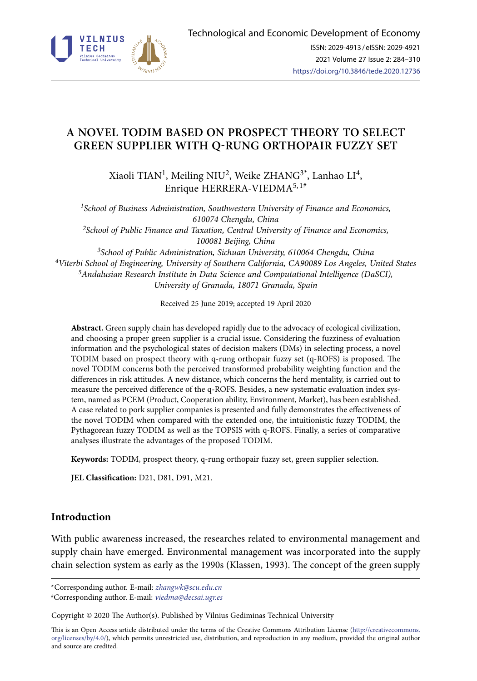

# **A NOVEL TODIM BASED ON PROSPECT THEORY TO SELECT GREEN SUPPLIER WITH Q-RUNG ORTHOPAIR FUZZY SET**

Xiaoli TIAN<sup>1</sup>, Meiling NIU<sup>2</sup>, Weike ZHANG<sup>3\*</sup>, Lanhao LI<sup>4</sup>, Enrique HERRERA-VIEDMA<sup>5, 1#</sup>

*1School of Business Administration, Southwestern University of Finance and Economics, 610074 Chengdu, China 2School of Public Finance and Taxation, Central University of Finance and Economics, 100081 Beijing, China [3School](file:///D:/TTED/%2bAIP_TTED_2020_1/UsersAdministratorAppDataLocalYodaoDeskDictframe20150308110420javascript:void(0);) of [Public](file:///D:/TTED/%2bAIP_TTED_2020_1/UsersAdministratorAppDataLocalYodaoDeskDictframe20150308110420javascript:void(0);) Administration, Sichuan University, 610064 Chengdu, China 4Viterbi School of Engineering, University of Southern California, CA90089 Los Angeles, United States 5Andalusian Research Institute in Data Science and Computational Intelligence (DaSCI), University of Granada, 18071 Granada, Spain*

Received 25 June 2019; accepted 19 April 2020

**Abstract.** Green supply chain has developed rapidly due to the advocacy of ecological civilization, and choosing a proper green supplier is a crucial issue. Considering the fuzziness of evaluation information and the psychological states of decision makers (DMs) in selecting process, a novel TODIM based on prospect theory with q-rung orthopair fuzzy set (q-ROFS) is proposed. The novel TODIM concerns both the perceived transformed probability weighting function and the differences in risk attitudes. A new distance, which concerns the herd mentality, is carried out to measure the perceived difference of the q-ROFS. Besides, a new systematic evaluation index system, named as PCEM (Product, Cooperation ability, Environment, Market), has been established. A case related to pork supplier companies is presented and fully demonstrates the effectiveness of the novel TODIM when compared with the extended one, the intuitionistic fuzzy TODIM, the Pythagorean fuzzy TODIM as well as the TOPSIS with q-ROFS. Finally, a series of comparative analyses illustrate the advantages of the proposed TODIM.

**Keywords:** TODIM, prospect theory, q-rung orthopair fuzzy set, green supplier selection.

**JEL Classification:** D21, D81, D91, M21.

## **Introduction**

With public awareness increased, the researches related to environmental management and supply chain have emerged. Environmental management was incorporated into the supply chain selection system as early as the 1990s (Klassen, 1993). The concept of the green supply

Copyright © 2020 The Author(s). Published by Vilnius Gediminas Technical University

This is an Open Access article distributed under the terms of the Creative Commons Attribution License (http://creativecommons. org/licenses/by/4.0/), which permits unrestricted use, distribution, and reproduction in any medium, provided the original author and source are credited.

<sup>\*</sup>Corresponding author. E-mail: *zhangwk@scu.edu.cn*

<sup>#</sup>Corresponding author. E-mail: *viedma@decsai.ugr.es*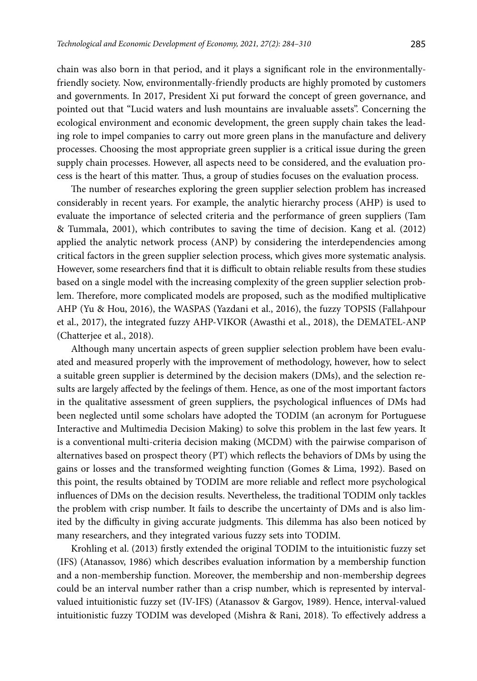chain was also born in that period, and it plays a significant role in the environmentallyfriendly society. Now, environmentally-friendly products are highly promoted by customers and governments. In 2017, President Xi put forward the concept of green governance, and pointed out that ''Lucid waters and lush mountains are invaluable assets''. Concerning the ecological environment and economic development, the green supply chain takes the leading role to impel companies to carry out more green plans in the manufacture and delivery processes. Choosing the most appropriate green supplier is a critical issue during the green supply chain processes. However, all aspects need to be considered, and the evaluation process is the heart of this matter. Thus, a group of studies focuses on the evaluation process.

The number of researches exploring the green supplier selection problem has increased considerably in recent years. For example, the analytic hierarchy process (AHP) is used to evaluate the importance of selected criteria and the performance of green suppliers (Tam & Tummala, 2001), which contributes to saving the time of decision. Kang et al. (2012) applied the analytic network process (ANP) by considering the interdependencies among critical factors in the green supplier selection process, which gives more systematic analysis. However, some researchers find that it is difficult to obtain reliable results from these studies based on a single model with the increasing complexity of the green supplier selection problem. Therefore, more complicated models are proposed, such as the modified multiplicative AHP (Yu & Hou, 2016), the WASPAS (Yazdani et al., 2016), the fuzzy TOPSIS (Fallahpour et al., 2017), the integrated fuzzy AHP-VIKOR (Awasthi et al., 2018), the DEMATEL-ANP (Chatterjee et al., 2018).

Although many uncertain aspects of green supplier selection problem have been evaluated and measured properly with the improvement of methodology, however, how to select a suitable green supplier is determined by the decision makers (DMs), and the selection results are largely affected by the feelings of them. Hence, as one of the most important factors in the qualitative assessment of green suppliers, the psychological influences of DMs had been neglected until some scholars have adopted the TODIM (an acronym for Portuguese Interactive and Multimedia Decision Making) to solve this problem in the last few years. It is a conventional multi-criteria decision making (MCDM) with the pairwise comparison of alternatives based on prospect theory (PT) which reflects the behaviors of DMs by using the gains or losses and the transformed weighting function (Gomes & Lima, 1992). Based on this point, the results obtained by TODIM are more reliable and reflect more psychological influences of DMs on the decision results. Nevertheless, the traditional TODIM only tackles the problem with crisp number. It fails to describe the uncertainty of DMs and is also limited by the difficulty in giving accurate judgments. This dilemma has also been noticed by many researchers, and they integrated various fuzzy sets into TODIM.

Krohling et al. (2013) firstly extended the original TODIM to the intuitionistic fuzzy set (IFS) (Atanassov, 1986) which describes evaluation information by a membership function and a non-membership function. Moreover, the membership and non-membership degrees could be an interval number rather than a crisp number, which is represented by intervalvalued intuitionistic fuzzy set (IV-IFS) (Atanassov & Gargov, 1989). Hence, interval-valued intuitionistic fuzzy TODIM was developed (Mishra & Rani, 2018). To effectively address a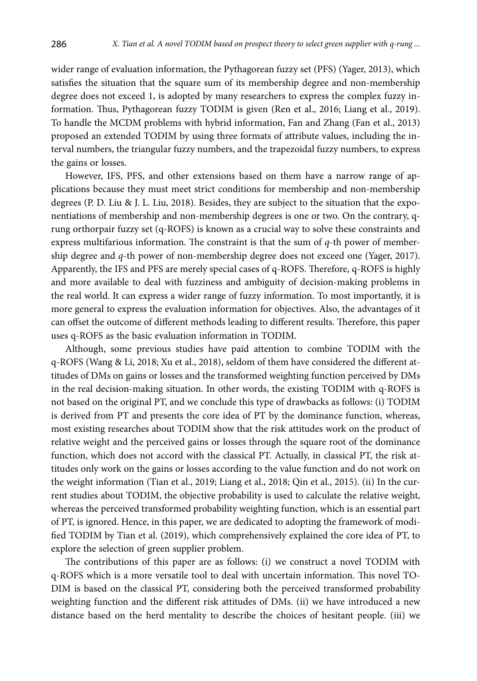wider range of evaluation information, the Pythagorean fuzzy set (PFS) (Yager, 2013), which satisfies the situation that the square sum of its membership degree and non-membership degree does not exceed 1, is adopted by many researchers to express the complex fuzzy information. Thus, Pythagorean fuzzy TODIM is given (Ren et al., 2016; Liang et al., 2019). To handle the MCDM problems with hybrid information, Fan and Zhang (Fan et al., 2013) proposed an extended TODIM by using three formats of attribute values, including the interval numbers, the triangular fuzzy numbers, and the trapezoidal fuzzy numbers, to express the gains or losses.

However, IFS, PFS, and other extensions based on them have a narrow range of applications because they must meet strict conditions for membership and non-membership degrees (P. D. Liu & J. L. Liu, 2018). Besides, they are subject to the situation that the exponentiations of membership and non-membership degrees is one or two. On the contrary, qrung orthorpair fuzzy set (q-ROFS) is known as a crucial way to solve these constraints and express multifarious information. The constraint is that the sum of *q*-th power of membership degree and *q*-th power of non-membership degree does not exceed one (Yager, 2017). Apparently, the IFS and PFS are merely special cases of q-ROFS. Therefore, q-ROFS is highly and more available to deal with fuzziness and ambiguity of decision-making problems in the real world. It can express a wider range of fuzzy information. To most importantly, it is more general to express the evaluation information for objectives. Also, the advantages of it can offset the outcome of different methods leading to different results. Therefore, this paper uses q-ROFS as the basic evaluation information in TODIM.

Although, some previous studies have paid attention to combine TODIM with the q-ROFS (Wang & Li, 2018; Xu et al., 2018), seldom of them have considered the different attitudes of DMs on gains or losses and the transformed weighting function perceived by DMs in the real decision-making situation. In other words, the existing TODIM with q-ROFS is not based on the original PT, and we conclude this type of drawbacks as follows: (i) TODIM is derived from PT and presents the core idea of PT by the dominance function, whereas, most existing researches about TODIM show that the risk attitudes work on the product of relative weight and the perceived gains or losses through the square root of the dominance function, which does not accord with the classical PT. Actually, in classical PT, the risk attitudes only work on the gains or losses according to the value function and do not work on the weight information (Tian et al., 2019; Liang et al., 2018; Qin et al., 2015). (ii) In the current studies about TODIM, the objective probability is used to calculate the relative weight, whereas the perceived transformed probability weighting function, which is an essential part of PT, is ignored. Hence, in this paper, we are dedicated to adopting the framework of modified TODIM by Tian et al. (2019), which comprehensively explained the core idea of PT, to explore the selection of green supplier problem.

The contributions of this paper are as follows: (i) we construct a novel TODIM with q-ROFS which is a more versatile tool to deal with uncertain information. This novel TO-DIM is based on the classical PT, considering both the perceived transformed probability weighting function and the different risk attitudes of DMs. (ii) we have introduced a new distance based on the herd mentality to describe the choices of hesitant people. (iii) we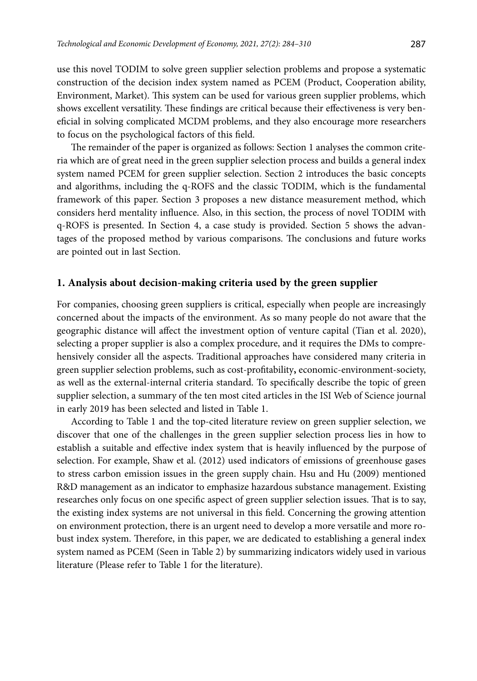use this novel TODIM to solve green supplier selection problems and propose a systematic construction of the decision index system named as PCEM (Product, Cooperation ability, Environment, Market). This system can be used for various green supplier problems, which shows excellent versatility. These findings are critical because their effectiveness is very beneficial in solving complicated MCDM problems, and they also encourage more researchers to focus on the psychological factors of this field.

The remainder of the paper is organized as follows: Section 1 analyses the common criteria which are of great need in the green supplier selection process and builds a general index system named PCEM for green supplier selection. Section 2 introduces the basic concepts and algorithms, including the q-ROFS and the classic TODIM, which is the fundamental framework of this paper. Section 3 proposes a new distance measurement method, which considers herd mentality influence. Also, in this section, the process of novel TODIM with q-ROFS is presented. In Section 4, a case study is provided. Section 5 shows the advantages of the proposed method by various comparisons. The conclusions and future works are pointed out in last Section.

#### **1. Analysis about decision-making criteria used by the green supplier**

For companies, choosing green suppliers is critical, especially when people are increasingly concerned about the impacts of the environment. As so many people do not aware that the geographic distance will affect the investment option of venture capital (Tian et al. 2020), selecting a proper supplier is also a complex procedure, and it requires the DMs to comprehensively consider all the aspects. Traditional approaches have considered many criteria in green supplier selection problems, such as cost-profitability**,** economic-environment-society, as well as the external-internal criteria standard. To specifically describe the topic of green supplier selection, a summary of the ten most cited articles in the ISI Web of Science journal in early 2019 has been selected and listed in Table 1.

According to Table 1 and the top-cited literature review on green supplier selection, we discover that one of the challenges in the green supplier selection process lies in how to establish a suitable and effective index system that is heavily influenced by the purpose of selection. For example, Shaw et al. (2012) used indicators of emissions of greenhouse gases to stress carbon emission issues in the green supply chain. Hsu and Hu (2009) mentioned R&D management as an indicator to emphasize hazardous substance management. Existing researches only focus on one specific aspect of green supplier selection issues. That is to say, the existing index systems are not universal in this field. Concerning the growing attention on environment protection, there is an urgent need to develop a more versatile and more robust index system. Therefore, in this paper, we are dedicated to establishing a general index system named as PCEM (Seen in Table 2) by summarizing indicators widely used in various literature (Please refer to Table 1 for the literature).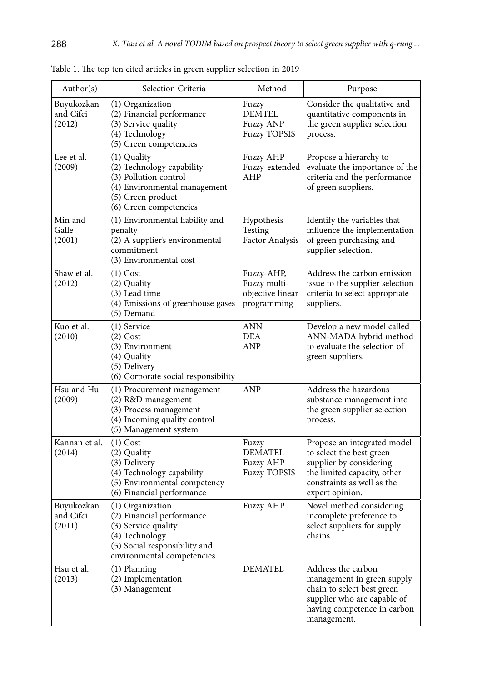| Author(s)                         | Selection Criteria                                                                                                                                    | Method                                                             | Purpose                                                                                                                                                            |
|-----------------------------------|-------------------------------------------------------------------------------------------------------------------------------------------------------|--------------------------------------------------------------------|--------------------------------------------------------------------------------------------------------------------------------------------------------------------|
| Buyukozkan<br>and Cifci<br>(2012) | (1) Organization<br>(2) Financial performance<br>(3) Service quality<br>(4) Technology<br>(5) Green competencies                                      | Fuzzy<br><b>DEMTEL</b><br><b>Fuzzy ANP</b><br><b>Fuzzy TOPSIS</b>  | Consider the qualitative and<br>quantitative components in<br>the green supplier selection<br>process.                                                             |
| Lee et al.<br>(2009)              | (1) Quality<br>(2) Technology capability<br>(3) Pollution control<br>(4) Environmental management<br>(5) Green product<br>(6) Green competencies      | Fuzzy AHP<br>Fuzzy-extended<br>AHP                                 | Propose a hierarchy to<br>evaluate the importance of the<br>criteria and the performance<br>of green suppliers.                                                    |
| Min and<br>Galle<br>(2001)        | (1) Environmental liability and<br>penalty<br>(2) A supplier's environmental<br>commitment<br>(3) Environmental cost                                  | Hypothesis<br>Testing<br>Factor Analysis                           | Identify the variables that<br>influence the implementation<br>of green purchasing and<br>supplier selection.                                                      |
| Shaw et al.<br>(2012)             | $(1)$ Cost<br>(2) Quality<br>(3) Lead time<br>(4) Emissions of greenhouse gases<br>(5) Demand                                                         | Fuzzy-AHP,<br>Fuzzy multi-<br>objective linear<br>programming      | Address the carbon emission<br>issue to the supplier selection<br>criteria to select appropriate<br>suppliers.                                                     |
| Kuo et al.<br>(2010)              | (1) Service<br>$(2)$ Cost<br>(3) Environment<br>(4) Quality<br>(5) Delivery<br>(6) Corporate social responsibility                                    | ANN<br>DEA<br>ANP                                                  | Develop a new model called<br>ANN-MADA hybrid method<br>to evaluate the selection of<br>green suppliers.                                                           |
| Hsu and Hu<br>(2009)              | (1) Procurement management<br>(2) R&D management<br>(3) Process management<br>(4) Incoming quality control<br>(5) Management system                   | <b>ANP</b>                                                         | Address the hazardous<br>substance management into<br>the green supplier selection<br>process.                                                                     |
| Kannan et al.<br>(2014)           | $(1)$ Cost<br>(2) Quality<br>(3) Delivery<br>(4) Technology capability<br>(5) Environmental competency<br>(6) Financial performance                   | Fuzzy<br><b>DEMATEL</b><br><b>Fuzzy AHP</b><br><b>Fuzzy TOPSIS</b> | Propose an integrated model<br>to select the best green<br>supplier by considering<br>the limited capacity, other<br>constraints as well as the<br>expert opinion. |
| Buyukozkan<br>and Cifci<br>(2011) | (1) Organization<br>(2) Financial performance<br>(3) Service quality<br>(4) Technology<br>(5) Social responsibility and<br>environmental competencies | <b>Fuzzy AHP</b>                                                   | Novel method considering<br>incomplete preference to<br>select suppliers for supply<br>chains.                                                                     |
| Hsu et al.<br>(2013)              | (1) Planning<br>(2) Implementation<br>(3) Management                                                                                                  | <b>DEMATEL</b>                                                     | Address the carbon<br>management in green supply<br>chain to select best green<br>supplier who are capable of<br>having competence in carbon<br>management.        |

Table 1. The top ten cited articles in green supplier selection in 2019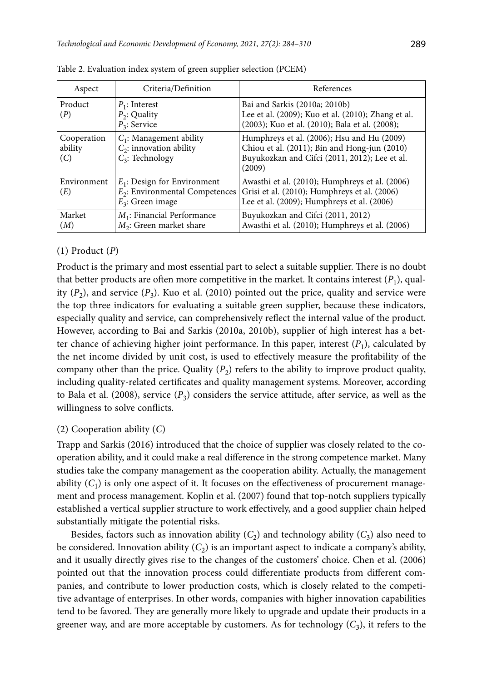| Aspect                        | Criteria/Definition                                                                        | References                                                                                                                                            |
|-------------------------------|--------------------------------------------------------------------------------------------|-------------------------------------------------------------------------------------------------------------------------------------------------------|
| Product<br>(P)                | $P_1$ : Interest<br>$P_2$ : Quality<br>$P_3$ : Service                                     | Bai and Sarkis (2010a; 2010b)<br>Lee et al. (2009); Kuo et al. (2010); Zhang et al.<br>(2003); Kuo et al. (2010); Bala et al. (2008);                 |
| Cooperation<br>ability<br>(C) | $C_1$ : Management ability<br>$C_2$ : innovation ability<br>$C_3$ : Technology             | Humphreys et al. (2006); Hsu and Hu (2009)<br>Chiou et al. (2011); Bin and Hong-jun (2010)<br>Buyukozkan and Cifci (2011, 2012); Lee et al.<br>(2009) |
| Environment<br>(E)            | $E_1$ : Design for Environment<br>$E_2$ : Environmental Competences<br>$E_3$ : Green image | Awasthi et al. (2010); Humphreys et al. (2006)<br>Grisi et al. (2010); Humphreys et al. (2006)<br>Lee et al. (2009); Humphreys et al. (2006)          |
| Market<br>(M)                 | $M_1$ : Financial Performance<br>$M_2$ : Green market share                                | Buyukozkan and Cifci (2011, 2012)<br>Awasthi et al. (2010); Humphreys et al. (2006)                                                                   |

Table 2. Evaluation index system of green supplier selection (PCEM)

### (1) Product (*P*)

Product is the primary and most essential part to select a suitable supplier. There is no doubt that better products are often more competitive in the market. It contains interest  $(P_1)$ , quality  $(P_2)$ , and service  $(P_3)$ . Kuo et al. (2010) pointed out the price, quality and service were the top three indicators for evaluating a suitable green supplier, because these indicators, especially quality and service, can comprehensively reflect the internal value of the product. However, according to Bai and Sarkis (2010a, 2010b), supplier of high interest has a better chance of achieving higher joint performance. In this paper, interest  $(P_1)$ , calculated by the net income divided by unit cost, is used to effectively measure the profitability of the company other than the price. Quality  $(P_2)$  refers to the ability to improve product quality, including quality-related certificates and quality management systems. Moreover, according to Bala et al. (2008), service  $(P_3)$  considers the service attitude, after service, as well as the willingness to solve conflicts.

### (2) Cooperation ability (*C*)

Trapp and Sarkis (2016) introduced that the choice of supplier was closely related to the cooperation ability, and it could make a real difference in the strong competence market. Many studies take the company management as the cooperation ability. Actually, the management ability  $(C_1)$  is only one aspect of it. It focuses on the effectiveness of procurement management and process management. Koplin et al. (2007) found that top-notch suppliers typically established a vertical supplier structure to work effectively, and a good supplier chain helped substantially mitigate the potential risks.

Besides, factors such as innovation ability  $(C_2)$  and technology ability  $(C_3)$  also need to be considered. Innovation ability  $(C_2)$  is an important aspect to indicate a company's ability, and it usually directly gives rise to the changes of the customers' choice. Chen et al. (2006) pointed out that the innovation process could differentiate products from different companies, and contribute to lower production costs, which is closely related to the competitive advantage of enterprises. In other words, companies with higher innovation capabilities tend to be favored. They are generally more likely to upgrade and update their products in a greener way, and are more acceptable by customers. As for technology  $(C_3)$ , it refers to the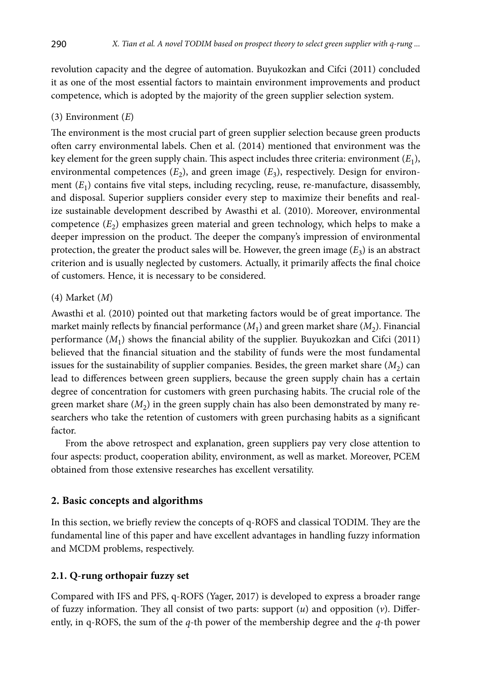revolution capacity and the degree of automation. Buyukozkan and Cifci (2011) concluded it as one of the most essential factors to maintain environment improvements and product competence, which is adopted by the majority of the green supplier selection system.

### (3) Environment (*E*)

The environment is the most crucial part of green supplier selection because green products often carry environmental labels. Chen et al. (2014) mentioned that environment was the key element for the green supply chain. This aspect includes three criteria: environment (*E*1), environmental competences  $(E_2)$ , and green image  $(E_3)$ , respectively. Design for environment  $(E_1)$  contains five vital steps, including recycling, reuse, re-manufacture, disassembly, and disposal. Superior suppliers consider every step to maximize their benefits and realize sustainable development described by Awasthi et al. (2010). Moreover, environmental competence  $(E_2)$  emphasizes green material and green technology, which helps to make a deeper impression on the product. The deeper the company's impression of environmental protection, the greater the product sales will be. However, the green image  $(E_3)$  is an abstract criterion and is usually neglected by customers. Actually, it primarily affects the final choice of customers. Hence, it is necessary to be considered.

### (4) Market (*M*)

Awasthi et al. (2010) pointed out that marketing factors would be of great importance. The market mainly reflects by financial performance  $(M_1)$  and green market share  $(M_2)$ . Financial performance  $(M_1)$  shows the financial ability of the supplier. Buyukozkan and Cifci (2011) believed that the financial situation and the stability of funds were the most fundamental issues for the sustainability of supplier companies. Besides, the green market share  $(M_2)$  can lead to differences between green suppliers, because the green supply chain has a certain degree of concentration for customers with green purchasing habits. The crucial role of the green market share  $(M<sub>2</sub>)$  in the green supply chain has also been demonstrated by many researchers who take the retention of customers with green purchasing habits as a significant factor.

From the above retrospect and explanation, green suppliers pay very close attention to four aspects: product, cooperation ability, environment, as well as market. Moreover, PCEM obtained from those extensive researches has excellent versatility.

### **2. Basic concepts and algorithms**

In this section, we briefly review the concepts of q-ROFS and classical TODIM. They are the fundamental line of this paper and have excellent advantages in handling fuzzy information and MCDM problems, respectively.

#### **2.1. Q-rung orthopair fuzzy set**

Compared with IFS and PFS, q-ROFS (Yager, 2017) is developed to express a broader range of fuzzy information. They all consist of two parts: support (*u*) and opposition (*v*). Differently, in q-ROFS, the sum of the *q*-th power of the membership degree and the *q*-th power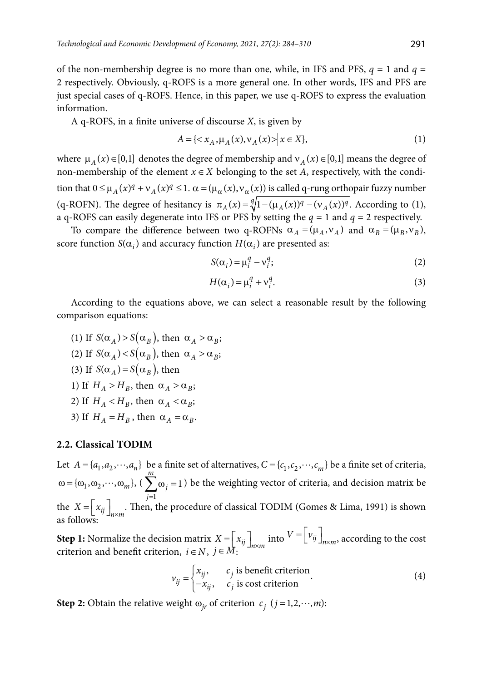of the non-membership degree is no more than one, while, in IFS and PFS,  $q = 1$  and  $q =$ 2 respectively. Obviously, q-ROFS is a more general one. In other words, IFS and PFS are just special cases of q-ROFS. Hence, in this paper, we use q-ROFS to express the evaluation information.

A q-ROFS, in a finite universe of discourse *X*, is given by

$$
A = \{ \langle x_A, \mu_A(x), \nu_A(x) \rangle \, \big| \, x \in X \},\tag{1}
$$

where  $\mu_A(x) \in [0,1]$  denotes the degree of membership and  $v_A(x) \in [0,1]$  means the degree of non-membership of the element  $x \in X$  belonging to the set *A*, respectively, with the condition that  $0 \leq \mu_A(x)^q + \nu_A(x)^q \leq 1$ .  $\alpha = (\mu_\alpha(x), \nu_\alpha(x))$  is called q-rung orthopair fuzzy number (q-ROFN). The degree of hesitancy is  $\pi_A(x) = \sqrt[q]{1 - (\mu_A(x))^q - (\nu_A(x))^q}$ . According to (1)[,](#page-7-0) [a q](#page-7-0)-ROFS can easily degenerate into IFS or PFS by setting the  $q = 1$  and  $q = 2$  respectively.

To compare the difference between two q-ROFNs  $\alpha_A = (\mu_A, v_A)$  and  $\alpha_B = (\mu_B, v_B)$ , score function  $S(\alpha_i)$  and accuracy function  $H(\alpha_i)$  are presented as:

<span id="page-7-0"></span>
$$
S(\alpha_i) = \mu_i^q - \nu_i^q; \tag{2}
$$

$$
H(\alpha_i) = \mu_i^q + \nu_i^q. \tag{3}
$$

<span id="page-7-2"></span>According to the equations above, we can select a reasonable result by the following comparison equations:

(1) If  $S(\alpha_A) > S(\alpha_B)$ , then  $\alpha_A > \alpha_B$ ; (2) If  $S(\alpha_A) < S(\alpha_B)$ , then  $\alpha_A > \alpha_B$ ; (3) If  $S(\alpha_A) = S(\alpha_B)$ , then 1) If  $H_A > H_B$ , then  $\alpha_A > \alpha_B$ ; 2) If  $H_A < H_B$ , then  $\alpha_A < \alpha_B$ ; 3) If  $H_A = H_B$ , then  $\alpha_A = \alpha_B$ .

#### **2.2. Classical TODIM**

Let  $A = \{a_1, a_2, \dots, a_n\}$  be a finite set of alternatives,  $C = \{c_1, c_2, \dots, c_m\}$  be a finite set of criteria,  $\omega = {\omega_1, \omega_2, \cdots, \omega_m},$ 1 1 *m j*  $\sum_{j=1}$   $\omega_j$  = 1 ) be the weighting vector of criteria, and decision matrix be the  $X = \left[ x_{ij} \right]_{n \times m}$ . Then, the procedure of classical TODIM (Gomes & Lima, 1991) is shown as follows:

**Step 1:** Normalize the decision matrix  $X = \begin{bmatrix} x_{ij} \end{bmatrix}_{n \times m}$  into  $V = \begin{bmatrix} v_{ij} \end{bmatrix}_{n \times m}$ , according to the cost criterion and benefit criterion,  $i \in N$ ,  $j \in M$ :

$$
v_{ij} = \begin{cases} x_{ij}, & c_j \text{ is benefit criterion} \\ -x_{ij}, & c_j \text{ is cost criterion} \end{cases}
$$
 (4)

<span id="page-7-1"></span>**Step 2:** Obtain the relative weight  $\omega_{ir}$  of criterion  $c_j$  ( $j = 1,2,\dots, m$ ):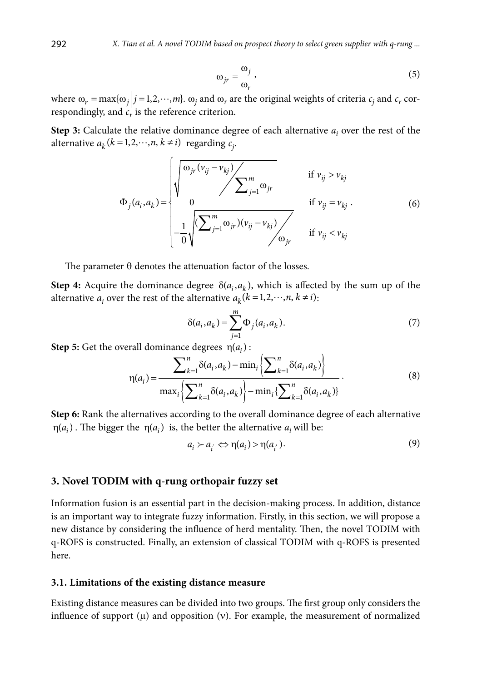$$
\omega_{jr} = \frac{\omega_j}{\omega_r},\tag{5}
$$

where  $\omega_r = \max\{\omega_j \, | \, j = 1, 2, \cdots, m\}$ .  $\omega_j$  and  $\omega_r$  are the original weights of criteria  $c_j$  and  $c_r$  correspondingly, and  $c<sub>r</sub>$  is the reference criterion.

**Step 3:** Calculate the relative dominance degree of each alternative  $a_i$  over the rest of the alternative  $a_k$  ( $k = 1, 2, \dots, n$ ,  $k \neq i$ ) regarding  $c_j$ .

$$
\Phi_j(a_i, a_k) = \begin{cases}\n\sqrt{\frac{\omega_{jr}(v_{ij} - v_{kj})}{\sum_{j=1}^m \omega_{jr}}} & \text{if } v_{ij} > v_{kj} \\
0 & \text{if } v_{ij} = v_{kj} \\
-\frac{1}{\Theta} \sqrt{\frac{\sum_{j=1}^m \omega_{jr}(v_{ij} - v_{kj})}{\sum_{j=1}^m \omega_{jr}}}\n\end{cases}
$$
\n(6)

The parameter  $\theta$  denotes the attenuation factor of the losses.

**Step 4:** Acquire the dominance degree  $\delta(a_i, a_k)$ , which is affected by the sum up of the alternative  $a_i$  over the rest of the alternative  $a_k$ ( $k = 1, 2, \dots, n, k \neq i$ ):

$$
\delta(a_i, a_k) = \sum_{j=1}^{m} \Phi_j(a_i, a_k).
$$
 (7)

**Step 5:** Get the overall dominance degrees  $\eta(a_i)$ :

$$
\eta(a_i) = \frac{\sum_{k=1}^{n} \delta(a_i, a_k) - \min_i \left\{ \sum_{k=1}^{n} \delta(a_i, a_k) \right\}}{\max_i \left\{ \sum_{k=1}^{n} \delta(a_i, a_k) \right\} - \min_i \left\{ \sum_{k=1}^{n} \delta(a_i, a_k) \right\}}.
$$
\n(8)

**Step 6:** Rank the alternatives according to the overall dominance degree of each alternative  $\eta(a_i)$ . The bigger the  $\eta(a_i)$  is, the better the alternative  $a_i$  will be:

$$
a_i \succ a_i \Leftrightarrow \eta(a_i) > \eta(a_{i'}).
$$
\n(9)

#### **3. Novel TODIM with q-rung orthopair fuzzy set**

Information fusion is an essential part in the decision-making process. In addition, distance is an important way to integrate fuzzy information. Firstly, in this section, we will propose a new distance by considering the influence of herd mentality. Then, the novel TODIM with q-ROFS is constructed. Finally, an extension of classical TODIM with q-ROFS is presented here.

#### **3.1. Limitations of the existing distance measure**

Existing distance measures can be divided into two groups. The first group only considers the influence of support  $(\mu)$  and opposition  $(v)$ . For example, the measurement of normalized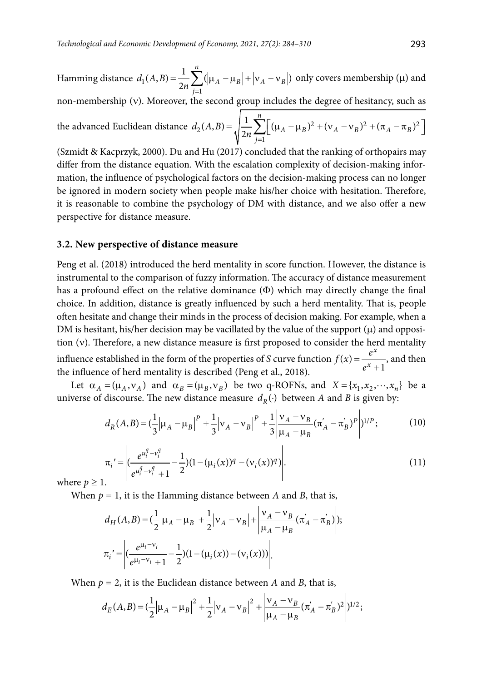Hamming distance  $d_1$  $(A, B) = \frac{1}{2n} \sum_{j=1}^{n} (|\mu_A - \mu_B| + |v_A - v_B|)$ *A*  $\mu_B$   $\mid \cdot \mid$  *A*  $\nu_B$ *j*  $d_1(A,B) = \frac{1}{2n} \sum_{j=1}^n (|\mu_A - \mu_B| + |v_A - v_B|)$  only covers membership ( $\mu$ ) and

non-membership (v). Moreover, the second group includes the degree of hesitancy, such as

the advanced Euclidean distance 
$$
d_2(A, B) = \sqrt{\frac{1}{2n} \sum_{j=1}^{n} \left[ (\mu_A - \mu_B)^2 + (v_A - v_B)^2 + (\pi_A - \pi_B)^2 \right]}
$$

(Szmidt & Kacprzyk, 2000). Du and Hu (2017) concluded that the ranking of orthopairs may differ from the distance equation. With the escalation complexity of decision-making information, the influence of psychological factors on the decision-making process can no longer be ignored in modern society when people make his/her choice with hesitation. Therefore, it is reasonable to combine the psychology of DM with distance, and we also offer a new perspective for distance measure.

#### **3.2. New perspective of distance measure**

Peng et al. (2018) introduced the herd mentality in score function. However, the distance is instrumental to the comparison of fuzzy information. The accuracy of distance measurement has a profound effect on the relative dominance  $(\Phi)$  which may directly change the final choice. In addition, distance is greatly influenced by such a herd mentality. That is, people often hesitate and change their minds in the process of decision making. For example, when a DM is hesitant, his/her decision may be vacillated by the value of the support  $(\mu)$  and opposition (v). Therefore, a new distance measure is first proposed to consider the herd mentality influence established in the form of the properties of  $S$  curve function  $f(x)$ 1 *x*  $f(x) = \frac{e^x}{e^x + 1}$ , and then the influence of herd mentality is described (Peng et al., 2018).

Let  $\alpha_A = (\mu_A, \nu_A)$  and  $\alpha_B = (\mu_B, \nu_B)$  be two q-ROFNs, and  $X = \{x_1, x_2, \dots, x_n\}$  be a universe of discourse. The new distance measure  $d_R(\cdot)$  between *A* and *B* is given by:

$$
d_R(A,B) = \left(\frac{1}{3} \left| \mu_A - \mu_B \right|^P + \frac{1}{3} \left| v_A - v_B \right|^P + \frac{1}{3} \left| \frac{v_A - v_B}{\mu_A - \mu_B} (\pi_A' - \pi_B')^P \right| \right)^{1/P};
$$
(10)

$$
\pi_{i} = \left| \frac{e^{u_i^q - v_i^q}}{e^{u_i^q - v_i^q} + 1} - \frac{1}{2} (1 - (\mu_i(x))^q - (\nu_i(x))^q) \right|.
$$
\nwhere  $t > 1$ .

\n(11)

where  $p \geq 1$ .

When  $p = 1$ , it is the Hamming distance between *A* and *B*, that is,

<span id="page-9-0"></span>
$$
d_{H}(A,B) = \left(\frac{1}{2}|\mu_{A} - \mu_{B}| + \frac{1}{2}|\nu_{A} - \nu_{B}| + \left|\frac{\nu_{A} - \nu_{B}}{\mu_{A} - \mu_{B}}(\pi_{A}^{'} - \pi_{B}^{'})\right|\right);
$$
  

$$
\pi_{i} = \left| \left(\frac{e^{\mu_{i} - \nu_{i}}}{e^{\mu_{i} - \nu_{i}} + 1} - \frac{1}{2}\right)(1 - (\mu_{i}(x)) - (\nu_{i}(x))) \right|.
$$

When  $p = 2$ , it is the Euclidean distance between *A* and *B*, that is,

$$
d_E(A,B) = \left(\frac{1}{2} \left| \mu_A - \mu_B \right|^2 + \frac{1}{2} \left| \nu_A - \nu_B \right|^2 + \left| \frac{\nu_A - \nu_B}{\mu_A - \mu_B} (\pi_A' - \pi_B')^2 \right| \right)^{1/2};
$$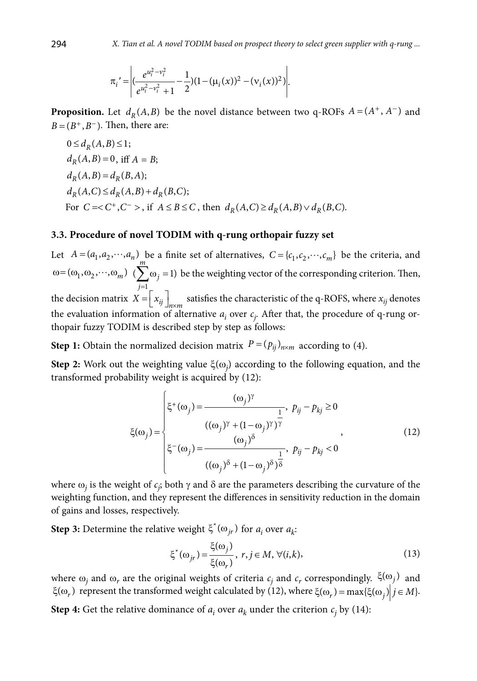$$
\pi_i' = \left| \left( \frac{e^{u_i^2 - v_i^2}}{e^{u_i^2 - v_i^2} + 1} - \frac{1}{2} \right) (1 - (\mu_i(x))^2 - (\nu_i(x))^2) \right|.
$$

**Proposition.** Let  $d_R(A, B)$  be the novel distance between two q-ROFs  $A = (A^+, A^-)$  and  $B = (B^+, B^-)$ . Then, there are:

$$
0 \le d_R(A, B) \le 1;
$$
  
\n
$$
d_R(A, B) = 0, \text{ iff } A = B;
$$
  
\n
$$
d_R(A, B) = d_R(B, A);
$$
  
\n
$$
d_R(A, C) \le d_R(A, B) + d_R(B, C);
$$
  
\nFor  $C = < C^+, C^- >$ , if  $A \le B \le C$ , then  $d_R(A, C) \ge d_R(A, B) \vee d_R(B, C).$ 

### **3.3. Procedure of novel TODIM with q-rung orthopair fuzzy set**

Let  $A = (a_1, a_2, \dots, a_n)$  be a finite set of alternatives,  $C = \{c_1, c_2, \dots, c_m\}$  be the criteria, and  $\omega = (\omega_1, \omega_2, \cdots, \omega_m)$ 1  $(\sum \omega_i = 1)$ *m j*  $\sum_{j=1}$   $\omega_j$  = 1) be the weighting vector of the corresponding criterion. Then, the decision matrix  $X = \left[ x_{ij} \right]_{n \times m}$  satisfies the characteristic of the q-ROFS, where  $x_{ij}$  denotes the evaluation information of alternative  $a_i$  over  $c_j$ . After that, the procedure of q-rung orthopair fuzzy TODIM is described step by step as follows:

**Step 1:** Obtain the normalized decision matrix  $P = (p_{ij})_{n \times m}$  according to (4).

**Step 2:** Work out the weighting value ξ(ω*<sup>j</sup>* ) according to the following equation, and the transformed probability weight is acquired by (12):

$$
\xi(\omega_j) = \begin{cases}\n\xi^+(\omega_j) = \frac{(\omega_j)^\gamma}{\frac{1}{(\omega_j)^{\gamma} + (1 - \omega_j)^\gamma} \cdot p_{ij} - p_{kj} \ge 0} \\
(\omega_j)^\gamma + (1 - \omega_j)^\gamma \cdot \frac{1}{(\omega_j)^{\delta}} \\
\xi^-(\omega_j) = \frac{(\omega_j)^{\delta}}{(\omega_j)^{\delta} + (1 - \omega_j)^{\delta} \cdot \frac{1}{\delta}}\n\end{cases}
$$
\n(12)

where  $\omega_j$  is the weight of  $c_j$ ; both  $\gamma$  and  $\delta$  are the parameters describing the curvature of the weighting function, and they represent the differences in sensitivity reduction in the domain of gains and losses, respectively.

**Step 3:** Determine the relative weight  $\xi^*(\omega_{jr})$  for  $a_i$  over  $a_k$ :

<span id="page-10-1"></span><span id="page-10-0"></span>
$$
\xi^*(\omega_{jr}) = \frac{\xi(\omega_j)}{\xi(\omega_r)}, \ r, j \in M, \ \forall (i, k), \tag{13}
$$

where  $\omega_j$  and  $\omega_r$  are the original weights of criteria  $c_j$  and  $c_r$  correspondingly.  $\xi(\omega_j)$  and  $\xi(\omega_r)$  represent the transformed weight calculated by (12[\), where](#page-10-0)  $\xi(\omega_r) = \max{\{\xi(\omega_j)|j \in M\}}$ .

**Step 4:** Get the relative dominance of  $a_i$  over  $a_k$  under the criterion  $c_j$  by (14):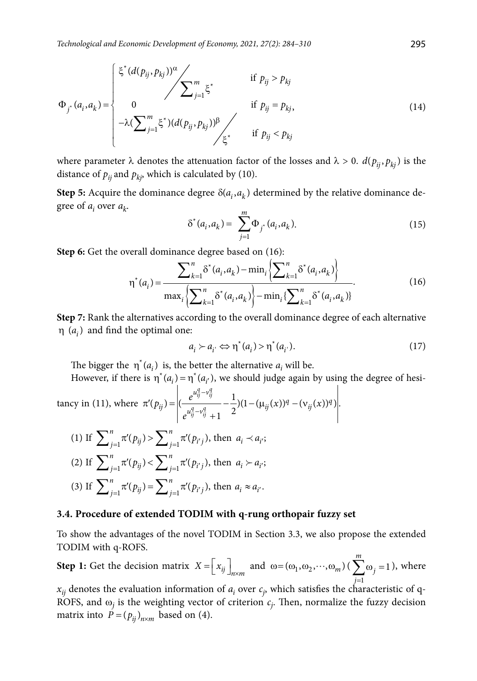$$
\Phi_{j^*}(a_i, a_k) = \begin{cases} \xi^*(d(p_{ij}, p_{kj}))^{\alpha} & \text{if } p_{ij} > p_{kj} \\ 0 & \text{if } p_{ij} = p_{kj}, \\ -\lambda (\sum_{j=1}^m \xi^*)(d(p_{ij}, p_{kj}))^{\beta} & \text{if } p_{ij} < p_{kj} \end{cases}
$$
(14)

where parameter  $\lambda$  denotes the attenuation factor of the losses and  $\lambda > 0$ .  $d(p_{ii}, p_{ki})$  is the distance of  $p_{ij}$  and  $p_{ki}$ , which is calculated by (10).

**Step 5:** Acquire the dominance degree  $\delta(a_i, a_k)$  determined by the relative dominance degree of *ai* over *ak*.

<span id="page-11-2"></span>
$$
\delta^*(a_i, a_k) = \sum_{j=1}^m \Phi_{j^*}(a_i, a_k). \tag{15}
$$

**Step 6[:](#page-11-0)** Get the overall dominance degree based on (16):

<span id="page-11-0"></span>
$$
\eta^*(a_i) = \frac{\sum_{k=1}^n \delta^*(a_i, a_k) - \min_i \left\{ \sum_{k=1}^n \delta^*(a_i, a_k) \right\}}{\max_i \left\{ \sum_{k=1}^n \delta^*(a_i, a_k) \right\} - \min_i \left\{ \sum_{k=1}^n \delta^*(a_i, a_k) \right\}}.
$$
(16)

<span id="page-11-1"></span>**Step 7:** Rank the alternatives according to the overall dominance degree of each alternative  $\eta$  ( $a_i$ ) and find the optimal one:

$$
a_i \succ a_{i'} \Leftrightarrow \eta^*(a_i) > \eta^*(a_{i'}).
$$
 (17)

The bigger the  $\eta^*(a_i)$  is, the better the alternative  $a_i$  will be.

However, if there is  $\eta^*(a_i) = \eta^*(a_{i'})$ , we should judge again by using the degree of hesi-<br> $\begin{vmatrix} a_i^a - v_i^a & 1 \end{vmatrix}$ 

tancy in (11), where 
$$
\pi'(p_{ij}) = \left| \left( \frac{e^{u_{ij}^u - v_{ij}^u}}{e^{u_{ij}^a - v_{ij}^a} + 1} - \frac{1}{2} \right) (1 - (\mu_{ij}(x))^q - (\nu_{ij}(x))^q) \right|
$$
.  
\n(1) If  $\sum_{j=1}^n \pi'(p_{ij}) > \sum_{j=1}^n \pi'(p_{i'j})$ , then  $a_i \prec a_{i'}$ ;  
\n(2) If  $\sum_{j=1}^n \pi'(p_{ij}) < \sum_{j=1}^n \pi'(p_{i'j})$ , then  $a_i \succ a_{i'}$ ;  
\n(3) If  $\sum_{j=1}^n \pi'(p_{ij}) = \sum_{j=1}^n \pi'(p_{i'j})$ , then  $a_i \approx a_{i'}$ .

#### **3.4. Procedure of extended TODIM with q-rung orthopair fuzzy set**

To show the advantages of the novel TODIM in Section 3.3, we also propose the extended TODIM with q-ROFS.

**Step 1:** Get the decision matrix  $X = \left[ x_{ij} \right]_{n \times m}$  and  $\omega = (\omega_1, \omega_2, \dots, \omega_m)$  ( $\sum \omega_j = 1$ 1 *j*= *m*  $\sum \omega_j = 1$ ), where

 $x_{ij}$  denotes the evaluation information of  $a_i$  over  $c_j$ , which satisfies the characteristic of q-ROFS, and  $\omega_j$  is the weighting vector of criterion  $c_j$ . Then, normalize the fuzzy decision matrix into  $P = (p_{ij})_{n \times m}$  based on (4).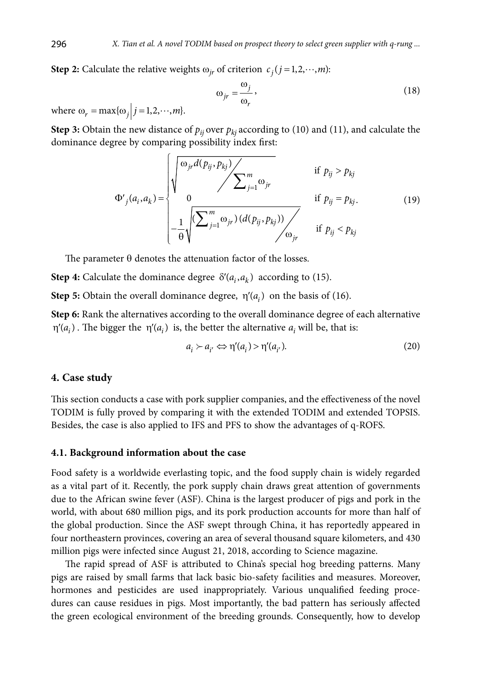**Step 2:** Calculate the relative weights  $\omega_{ir}$  of criterion  $c_j$  ( $j = 1, 2, \dots, m$ ):

$$
\omega_{jr} = \frac{\omega_j}{\omega_r},\tag{18}
$$

where  $\omega_r = \max{\{\omega_j \mid j = 1, 2, \cdots, m\}}$ .

<span id="page-12-0"></span>**Step 3:** Obtain the new distance of  $p_{ij}$  over  $p_{ki}$  according to (10) and (11), and calculate the dominance degree by comparing possibility index first:

$$
\Phi'_{j}(a_{i}, a_{k}) = \begin{cases} \sqrt{\frac{\omega_{jr} d(p_{ij}, p_{kj})}{\sum_{j=1}^{m} \omega_{jr}} & \text{if } p_{ij} > p_{kj} \\ 0 & \text{if } p_{ij} = p_{kj}. \\ -\frac{1}{\theta} \sqrt{\frac{\sum_{j=1}^{m} \omega_{jr} (d(p_{ij}, p_{kj}))}{\sum_{j=1}^{m} \omega_{jr}} & \text{if } p_{ij} < p_{kj} \end{cases}
$$
(19)

The parameter  $\theta$  denotes the attenuation factor of the losses.

**Step 4:** Calculate the dominance degree  $\delta'(a_i, a_k)$  according to (15)[.](#page-11-1)

**Step 5:** Obtain the overall dominance degree,  $\eta'(a_i)$  on the basis of (16).

**Step 6:** Rank the alternatives according to the overall dominance degree of each alternative  $\eta'(a_i)$ . The bigger the  $\eta'(a_i)$  is, the better the alternative  $a_i$  will be, that is:

<span id="page-12-1"></span>
$$
a_i \succ a_{i'} \Leftrightarrow \eta'(a_i) > \eta'(a_{i'}).
$$
\n(20)

### **4. Case study**

This section conducts a case with pork supplier companies, and the effectiveness of the novel TODIM is fully proved by comparing it with the extended TODIM and extended TOPSIS. Besides, the case is also applied to IFS and PFS to show the advantages of q-ROFS.

#### **4.1. Background information about the case**

Food safety is a worldwide everlasting topic, and the food supply chain is widely regarded as a vital part of it. Recently, the pork supply chain draws great attention of governments due to the African swine fever (ASF). China is the largest producer of pigs and pork in the world, with about 680 million pigs, and its pork production accounts for more than half of the global production. Since the ASF swept through China, it has reportedly appeared in four northeastern provinces, covering an area of several thousand square kilometers, and 430 million pigs were infected since August 21, 2018, according to Science magazine.

The rapid spread of ASF is attributed to China's special hog breeding patterns. Many pigs are raised by small farms that lack basic bio-safety facilities and measures. Moreover, hormones and pesticides are used inappropriately. Various unqualified feeding procedures can cause residues in pigs. Most importantly, the bad pattern has seriously affected the green ecological environment of the breeding grounds. Consequently, how to develop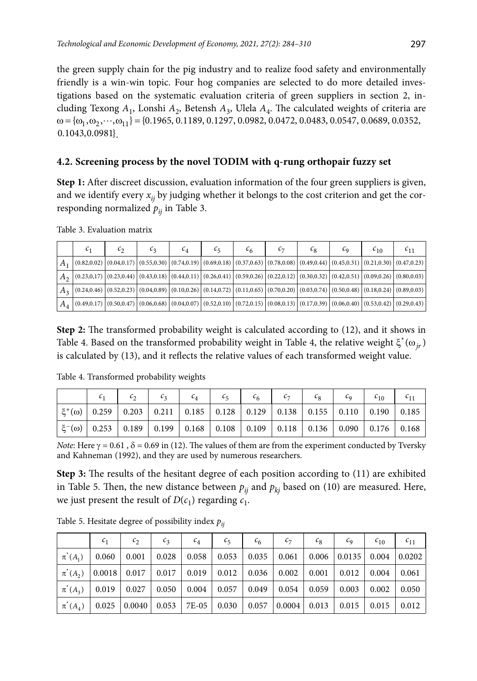the green supply chain for the pig industry and to realize food safety and environmentally friendly is a win-win topic. Four hog companies are selected to do more detailed investigations based on the systematic evaluation criteria of green suppliers in section 2, including Texong *A*1, Lonshi *A*2, Betensh *A*3, Ulela *A*4. The calculated weights of criteria are  $\omega = {\omega_1, \omega_2, \cdots, \omega_{11}} = {0.1965, 0.1189, 0.1297, 0.0982, 0.0472, 0.0483, 0.0547, 0.0689, 0.0352,$  $0.1043, 0.0981$ 

## **4.2. Screening process by the novel TODIM with q-rung orthopair fuzzy set**

**Step 1:** After discreet discussion, evaluation information of the four green suppliers is given, and we identify every  $x_{ij}$  by judging whether it belongs to the cost criterion and get the corresponding normalized  $p_{ij}$  in Table 3.

| $\mathsf{c}_1$                                                                                                                                                                                                                 | ັ | U2 | $\mathfrak{c}_4$ | ıς | ۰6 | $\iota_8$ | $\iota_{\alpha}$ | 40 <sup>2</sup> | 611 |
|--------------------------------------------------------------------------------------------------------------------------------------------------------------------------------------------------------------------------------|---|----|------------------|----|----|-----------|------------------|-----------------|-----|
| $\mid$ A $_1$ $\mid$ (0.82,0.02) $\mid$ (0.94,0.17) $\mid$ (0.55,0.30) $\mid$ (0.74,0.19) $\mid$ (0.69,0.18) $\mid$ (0.77,0.63) $\mid$ (0.78,0.08) $\mid$ (0.49,0.44) $\mid$ (0.45,0.31) $\mid$ (0.21,0.30) $\mid$ (0.47,0.23) |   |    |                  |    |    |           |                  |                 |     |
| $\mid A_{2}\mid$ (0.23,0,17) $\mid$ (0.23,0.44) $\mid$ (0.43,0.18) $\mid$ (0.44,0.11) $\mid$ (0.26,0.41) $\mid$ (0.59,0.26) $\mid$ (0.22,0.12) $\mid$ (0.30,0.32) $\mid$ (0.42,0.51) $\mid$ (0.09,0.26) $\mid$ (0.80,0.03)     |   |    |                  |    |    |           |                  |                 |     |
| $A_3$ $(0.24,0.46)$ $(0.52,0.23)$ $(0.04,0.89)$ $(0.10,0.26)$ $(0.14,0.72)$ $(0.11,0.65)$ $(0.70,0.20)$ $(0.03,0.74)$ $(0.50,0.48)$ $(0.18,0.24)$ $(0.89,0.03)$                                                                |   |    |                  |    |    |           |                  |                 |     |
| $\mid$ $A$ $_{4}\mid$ $(0.49,0.17)\mid$ $(0.50,0.47)\mid$ $(0.06,0.68)\mid$ $(0.04,0.07)\mid$ $(0.52,0.10)\mid$ $(0.72,0.15)\mid$ $(0.08,0.13)\mid$ $(0.17,0.39)\mid$ $(0.06,0.40)\mid$ $(0.53,0.42)\mid$ $(0.29,0.43)\mid$    |   |    |                  |    |    |           |                  |                 |     |

Table 3. Evaluation matrix

**Step 2:** The transformed probability weight is calculated according to (12), and it shows in Table 4. Based on the transformed probability weight in Table 4, the relative weight  $\xi^*(\omega_{ir})$ is calculated by (13[\),](#page-10-1) and it reflects the relative values of each transformed weight value.

Table 4. Transformed probability weights

|                                                                                                                                                                                          | $c_1$ $c_2$ $c_3$ $c_4$ $c_5$ $c_6$ $c_7$ $c_8$ $c_9$ $c_{10}$ $c_{11}$ |  |  |  |  |  |
|------------------------------------------------------------------------------------------------------------------------------------------------------------------------------------------|-------------------------------------------------------------------------|--|--|--|--|--|
| $\left  \xi^+(\omega) \right $ 0.259   0.203   0.211   0.185   0.128   0.129   0.138   0.155   0.110   0.190   0.185                                                                     |                                                                         |  |  |  |  |  |
| $\vert$ $\xi$ <sup>-</sup> (ω) $\vert$ 0.253 $\vert$ 0.189 $\vert$ 0.199 $\vert$ 0.168 $\vert$ 0.108 $\vert$ 0.109 $\vert$ 0.118 $\vert$ 0.136 $\vert$ 0.090 $\vert$ 0.176 $\vert$ 0.168 |                                                                         |  |  |  |  |  |

*Note*: Here  $\gamma = 0.61$  ,  $\delta = 0.69$  in (12). The values of them are from the experiment conducted by Tversky and Kahneman (1992), and they are used by numerous researchers.

**Step 3:** The results of the hesitant degree of each position according to (11) are exhibited in Table 5. Then, the new distance between  $p_{ij}$  and  $p_{ki}$  based on (10) are measured. Here, we just present the result of  $D(c_1)$  regarding  $c_1$ .

|                                                                                              | $c_{1}$ | c <sub>2</sub>                   | c <sub>3</sub> | $c_4$       | c <sub>5</sub> | $c_{6}$ | $c_7$                                                                                                                         | $c_8$ | $c_{\rm q}$ | $c_{10}$ | $c_{11}$                                          |
|----------------------------------------------------------------------------------------------|---------|----------------------------------|----------------|-------------|----------------|---------|-------------------------------------------------------------------------------------------------------------------------------|-------|-------------|----------|---------------------------------------------------|
| $\pi^*(A_1)$ 0.060                                                                           |         | 0.001                            |                |             |                |         | $\mid$ 0.028 $\mid$ 0.058 $\mid$ 0.053 $\mid$ 0.035 $\mid$ 0.061 $\mid$ 0.006 $\mid$ 0.0135 $\mid$ 0.004 $\mid$ 0.0202 $\mid$ |       |             |          |                                                   |
| $\pi^*(A_2)$   0.0018   0.017   0.017   0.019   0.012   0.036   0.002   0.001                |         |                                  |                |             |                |         |                                                                                                                               |       |             |          | $\vert 0.012 \vert 0.004 \vert 0.061 \vert$       |
| $\pi^*(A_3)$   0.019   0.027   0.050   0.004   0.057   0.049   0.054   0.059   0.003   0.002 |         |                                  |                |             |                |         |                                                                                                                               |       |             |          | 0.050                                             |
| $\pi^*(A_4)$   0.025                                                                         |         | $\vert 0.0040 \vert 0.053 \vert$ |                | 7E-05 0.030 |                |         | $\vert 0.057 \vert 0.0004 \vert 0.013 \vert$                                                                                  |       |             |          | $\vert$ 0.015 $\vert$ 0.015 $\vert$ 0.012 $\vert$ |

Table 5. Hesitate degree of possibility index *pij*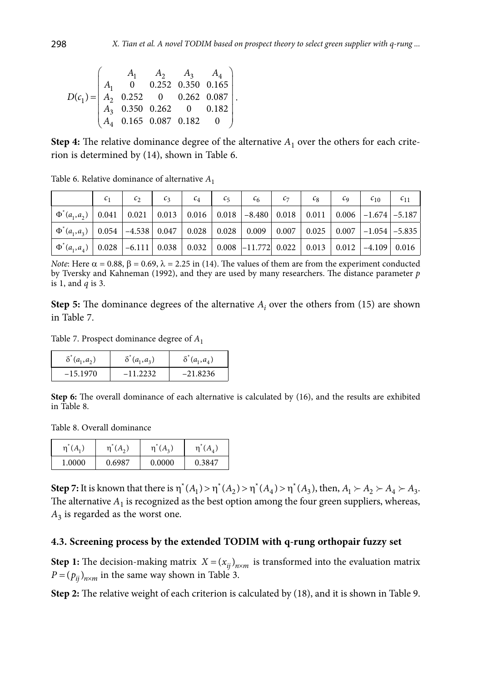$$
D(c_1) = \begin{pmatrix} A_1 & A_2 & A_3 & A_4 \\ A_1 & 0 & 0.252 & 0.350 & 0.165 \\ A_2 & 0.252 & 0 & 0.262 & 0.087 \\ A_3 & 0.350 & 0.262 & 0 & 0.182 \\ A_4 & 0.165 & 0.087 & 0.182 & 0 \end{pmatrix}
$$

**Step 4:** The relative dominance degree of the alternative  $A_1$  over the others for each criterion is determined by (14)[,](#page-11-2) shown in Table 6.

.

|                                                                                                                                                           | c <sub>2</sub> | c <sub>3</sub> | $c_4$ | $c_{5}$ | c <sub>6</sub> | $c_7$ | $c_8$ | $c_{\rm q}$ | $c_{10}$ $c_{11}$ |
|-----------------------------------------------------------------------------------------------------------------------------------------------------------|----------------|----------------|-------|---------|----------------|-------|-------|-------------|-------------------|
| $\mid \Phi^*(a_1, a_2) \mid 0.041 \mid 0.021 \mid 0.013 \mid 0.016 \mid 0.018 \mid -8.480 \mid 0.018 \mid 0.011 \mid 0.006 \mid -1.674 \mid -5.187 \mid$  |                |                |       |         |                |       |       |             |                   |
| $\mid \Phi^*(a_1, a_3) \mid 0.054 \mid -4.538 \mid 0.047 \mid 0.028 \mid 0.028 \mid 0.009 \mid 0.007 \mid 0.025 \mid 0.007 \mid -1.054 \mid -5.835 \mid$  |                |                |       |         |                |       |       |             |                   |
| $\mid \Phi^*(a_1, a_4) \mid 0.028 \mid -6.111 \mid 0.038 \mid 0.032 \mid 0.008 \mid -11.772 \mid 0.022 \mid 0.013 \mid 0.012 \mid -4.109 \mid 0.016 \mid$ |                |                |       |         |                |       |       |             |                   |

Table 6. Relative dominance of alternative *A*<sup>1</sup>

*Note*: Here  $\alpha = 0.88$ ,  $\beta = 0.69$ ,  $\lambda = 2.25$  in (14). The values of them are from the experiment conducted by Tversky and Kahneman (1992), and they are used by many researchers. The distance parameter *p* is 1, and *q* is 3.

**Step 5:** The dominance degrees of the alternative  $A_i$  over the others from (15) are shown in Table 7.

Table 7. Prospect dominance degree of *A*<sup>1</sup>

| $\delta^*(a_1, a_2)$ | $\delta^*(a_1,a_3)$ | $\delta$ <sup>*</sup> $(a_1, a_4)$ |
|----------------------|---------------------|------------------------------------|
| $-15.1970$           | $-11.2232$          | $-21.8236$                         |

**Step 6:** The overall dominance of each alternative is calculated by (16), and the results are exhibited in Table 8.

Table 8. Overall dominance

| $\eta$ <sup><math>(A_1)</math></sup> | (A, )<br>'n | $(A_3)$<br>η | η      |
|--------------------------------------|-------------|--------------|--------|
| 1.0000                               | 0.6987      | 0.0000       | 0.3847 |

**Step 7:** It is known that there is  $\eta^*(A_1) > \eta^*(A_2) > \eta^*(A_4) > \eta^*(A_3)$ , then,  $A_1 > A_2 > A_4 > A_3$ . The alternative  $A_1$  is recognized as the best option among the four green suppliers, whereas,  $A_3$  is regarded as the worst one.

#### **4.3. Screening process by the extended TODIM with q-rung orthopair fuzzy set**

**Step 1:** The decision-making matrix  $X = (x_{ij})_{n \times m}$  is transformed into the evaluation matrix  $P = (p_{ij})_{n \times m}$  in the same way shown in Table 3.

**Step 2:** The relative weight of each criterion is calculated by (18)[,](#page-12-0) and it is shown in Table 9.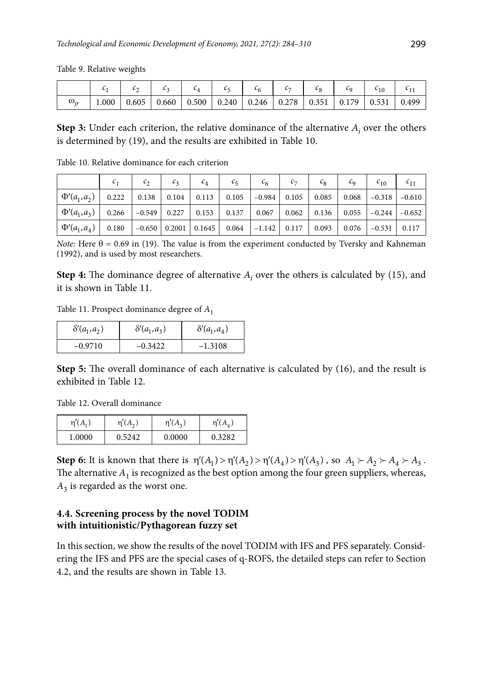Table 9. Relative weights

|              |      | ∼     |       |  |                                                               |  |       |       |       |
|--------------|------|-------|-------|--|---------------------------------------------------------------|--|-------|-------|-------|
| $\omega_{i}$ | 0001 | 0.605 | 0.660 |  | $\vert 0.500 \vert 0.240 \vert 0.246 \vert 0.278 \vert 0.351$ |  | 0.179 | 0.531 | 0.499 |

**Step 3:** Under each criterion, the relative dominance of the alternative  $A_i$  over the others is determined by (19[\),](#page-12-1) and the results are exhibited in Table 10.

|                                                                                                                                                                               | $\mathcal{C}_1$ | $c_{2}$ | $c_{3}$ | $c_4$ | $c_{5}$                                                                                         | $c_{6}$ | $c_{7}$ | $c_{8}$ | $c_{\rm o}$ | $c_{10}$                     | $c_{11}$ |
|-------------------------------------------------------------------------------------------------------------------------------------------------------------------------------|-----------------|---------|---------|-------|-------------------------------------------------------------------------------------------------|---------|---------|---------|-------------|------------------------------|----------|
| $ \Phi'(a_1, a_2) $ 0.222   0.138   0.104   0.113   0.105   -0.984   0.105   0.085                                                                                            |                 |         |         |       |                                                                                                 |         |         |         |             | $0.068$ $-0.318$ $-0.610$    |          |
| $\mid \Phi'(a_1, a_3) \mid$ 0.266 $\mid$ -0.549 $\mid$ 0.227 $\mid$ 0.153 $\mid$ 0.137 $\mid$ 0.067 $\mid$ 0.062 $\mid$ 0.136 $\mid$ 0.055 $\mid$ -0.244 $\mid$ -0.652 $\mid$ |                 |         |         |       |                                                                                                 |         |         |         |             |                              |          |
| $ \Phi'(a_1,a_4) $ 0.180                                                                                                                                                      |                 |         |         |       | $\vert -0.650 \vert 0.2001 \vert 0.1645 \vert 0.064 \vert -1.142 \vert 0.117 \vert 0.093 \vert$ |         |         |         |             | $0.076$   $-0.531$   $0.117$ |          |

Table 10. Relative dominance for each criterion

*Note*: Here  $\theta$  = 0.69 in (19). The value is from the experiment conducted by Tversky and Kahneman (1992), and is used by most researchers.

**Step 4:** The dominance degree of alternative  $A_i$  over the others is calculated by (15), and it is shown in Table 11.

Table 11. Prospect dominance degree of *A*<sup>1</sup>

| $\delta'(a_1, a_2)$ | $\delta'(a_1, a_3)$ | $\delta'(a_1, a_4)$ |
|---------------------|---------------------|---------------------|
| $-0.9710$           | $-0.3422$           | $-1.3108$           |

**Step 5:** The overall dominance of each alternative is calculated by (16), and the result is exhibited in Table 12.

Table 12. Overall dominance

| $\eta'(A_1)$ | $\eta'(A_2)$ | $\eta'(A_3)$ | $\eta'(A_4)$ |
|--------------|--------------|--------------|--------------|
| 1.0000       | 0.5242       | 0.0000       | 0.3282       |

**Step 6:** It is known that there is  $\eta'(A_1) > \eta'(A_2) > \eta'(A_4) > \eta'(A_3)$ , so  $A_1 > A_2 > A_4 > A_3$ . The alternative  $A_1$  is recognized as the best option among the four green suppliers, whereas,  $A_3$  is regarded as the worst one.

## **4.4. Screening process by the novel TODIM with intuitionistic/Pythagorean fuzzy set**

In this section, we show the results of the novel TODIM with IFS and PFS separately. Considering the IFS and PFS are the special cases of q-ROFS, the detailed steps can refer to Section 4.2, and the results are shown in Table 13.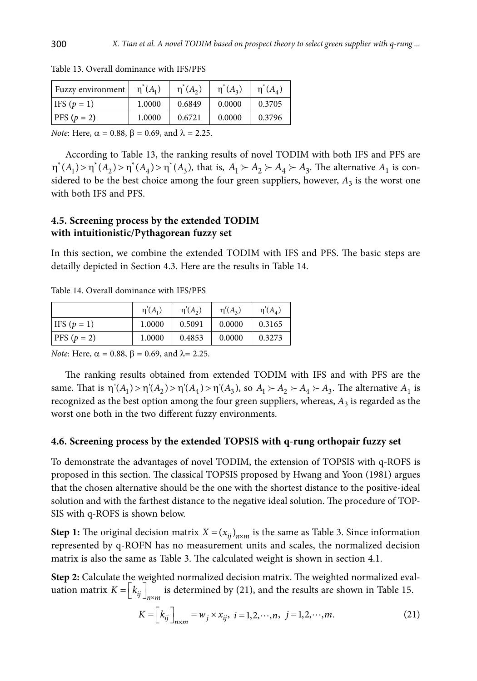| Fuzzy environment | $\eta^*(A_1)$ | $\eta^*(A_2)$ | $\eta^*(A_2)$ | $\eta^*(A_4)$ |
|-------------------|---------------|---------------|---------------|---------------|
| IFS $(p = 1)$     | 1.0000        | 0.6849        | 0.0000        | 0.3705        |
| $PFS(p = 2)$      | 1.0000        | 0.6721        | 0.0000        | 0.3796        |

Table 13. Overall dominance with IFS/PFS

*Note*: Here,  $\alpha = 0.88$ ,  $\beta = 0.69$ , and  $\lambda = 2.25$ .

According to Table 13, the ranking results of novel TODIM with both IFS and PFS are  $\eta^*(A_1) > \eta^*(A_2) > \eta^*(A_4) > \eta^*(A_3)$ , that is,  $A_1 \succ A_2 \succ A_4 \succ A_3$ . The alternative  $A_1$  is considered to be the best choice among the four green suppliers, however,  $A_3$  is the worst one with both IFS and PFS.

### **4.5. Screening process by the extended TODIM with intuitionistic/Pythagorean fuzzy set**

In this section, we combine the extended TODIM with IFS and PFS. The basic steps are detailly depicted in Section 4.3. Here are the results in Table 14.

Table 14. Overall dominance with IFS/PFS

|                   | $\eta'(A_1)$ | $\eta'(A_{2})$ | $\eta'(A_2)$ | $\eta'(A_{\scriptscriptstyle A})$ |
|-------------------|--------------|----------------|--------------|-----------------------------------|
| $ $ IFS $(p = 1)$ | 1.0000       | 0.5091         | 0.0000       | 0.3165                            |
| $PFS(p = 2)$      | 1.0000       | 0.4853         | 0.0000       | 0.3273                            |

*Note*: Here,  $\alpha = 0.88$ ,  $\beta = 0.69$ , and  $\lambda = 2.25$ .

The ranking results obtained from extended TODIM with IFS and with PFS are the same. That is  $\eta'(A_1) > \eta'(A_2) > \eta'(A_4) > \eta'(A_3)$ , so  $A_1 \succ A_2 \succ A_4 \succ A_3$ . The alternative  $A_1$  is recognized as the best option among the four green suppliers, whereas,  $A_3$  is regarded as the worst one both in the two different fuzzy environments.

#### **4.6. Screening process by the extended TOPSIS with q-rung orthopair fuzzy set**

To demonstrate the advantages of novel TODIM, the extension of TOPSIS with q-ROFS is proposed in this section. The classical TOPSIS proposed by Hwang and Yoon (1981) argues that the chosen alternative should be the one with the shortest distance to the positive-ideal solution and with the farthest distance to the negative ideal solution. The procedure of TOP-SIS with q-ROFS is shown below.

**Step 1:** The original decision matrix  $X = (x_{ij})_{n \times m}$  is the same as Table 3. Since information represented by q-ROFN has no measurement units and scales, the normalized decision matrix is also the same as Table 3. The calculated weight is shown in section 4.1.

**Step 2:** Calculate the weighted normalized decision matrix. The weighted normalized evaluation matrix  $K = \left| k_{ij} \right|_{n \times m}$  is determined by (21)[,](#page-17-0) and the results are shown in Table 15.

$$
K = \left[k_{ij}\right]_{n \times m} = w_j \times x_{ij}, \ i = 1, 2, \cdots, n, \ j = 1, 2, \cdots, m.
$$
 (21)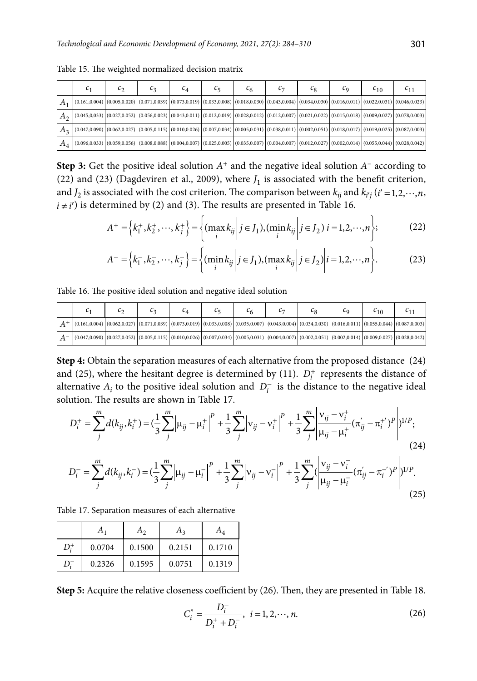|                    |                                                                                                                                                                                                                                                                                       | ı2 | $\mathfrak{c}_4$ | ıς |  | $\mathfrak{c}_8$ | τq | $\epsilon_{10}$ | $^{11}$ |
|--------------------|---------------------------------------------------------------------------------------------------------------------------------------------------------------------------------------------------------------------------------------------------------------------------------------|----|------------------|----|--|------------------|----|-----------------|---------|
| $A_1$              | $\mid$ (0.161,0.004) $\mid$ (0.005,0.020) $\mid$ (0.071,0.039) $\mid$ (0.073,0.019) $\mid$ (0.033,0.008) $\mid$ (0.018,0.030) $\mid$ (0.043,0.004) $\mid$ (0.034,0.030) $\mid$ (0.016,0.011) $\mid$ (0.022,0.031) $\mid$ (0.046,0.023)                                                |    |                  |    |  |                  |    |                 |         |
| $A_{2}$            | $\mid$ (0.045,0,033) $\mid$ (0.027,0.052) $\mid$ (0.056,0.023) $\mid$ (0.043,0.011) $\mid$ (0.012,0.019) $\mid$ (0.028,0.012) $\mid$ (0.012,0.007) $\mid$ (0.021,0.022) $\mid$ (0.015,0.018) $\mid$ (0.099,0.027) $\mid$ (0.078,0.003)                                                |    |                  |    |  |                  |    |                 |         |
| $A_3$              | $\mid (0.047, 0.090) \mid (0.062, 0.027) \mid (0.005, 0.115) \mid (0.010, 0.026) \mid (0.007, 0.034) \mid (0.005, 0.031) \mid (0.038, 0.011) \mid (0.002, 0.051) \mid (0.018, 0.017) \mid (0.019, 0.025) \mid (0.087, 0.003) \mid (0.0067, 0.007) \mid (0.007, 0.037) \mid (0.007, 0$ |    |                  |    |  |                  |    |                 |         |
| $^{\mathsf{H}}A_4$ | $\mid$ (0.096,0.033) $\mid$ (0.059,0.056) $\mid$ (0.008,0.088) $\mid$ (0.004,0.007) $\mid$ (0.025,0.005) $\mid$ (0.035,0.007) $\mid$ (0.004,0.007) $\mid$ (0.012,0.027) $\mid$ (0.020,0.014) $\mid$ (0.055,0.044) $\mid$ (0.028,0.042)                                                |    |                  |    |  |                  |    |                 |         |

<span id="page-17-0"></span>Table 15. The weighted normalized decision matrix

**Step 3:** Get the positive ideal solution  $A^+$  and the negative ideal solution  $A^-$  according to (22) and (23) [\(Dagdeviren](#page-17-1) et al., 2009), where  $J_1$  is associated with the benefit criterion, and  $J_2$  is associated with the cost criterion. The comparison between  $k_{ij}$  and  $k_{i'j}$  ( $i' = 1, 2, \dots, n$ ,  $i \neq i'$ ) is determined by (2) and (3)[.](#page-7-2) The results are presented in Table 16.

$$
A^{+} = \left\{ k_{1}^{+}, k_{2}^{+}, \cdots, k_{j}^{+} \right\} = \left\{ (\max_{i} k_{ij} | j \in J_{1}), (\min_{i} k_{ij} | j \in J_{2}) \middle| i = 1, 2, \cdots, n \right\};
$$
 (22)

<span id="page-17-1"></span>
$$
A^{-} = \left\{ k_1^{-}, k_2^{-}, \cdots, k_j^{-} \right\} = \left\{ (\min_i k_{ij} | j \in J_1), (\max_i k_{ij} | j \in J_2) | i = 1, 2, \cdots, n \right\}.
$$
 (23)

Table 16. The positive ideal solution and negative ideal solution

|                                                                                                                                                                                                                                                                                         |  | ◡ |  |  | L٥ | 610 |  |
|-----------------------------------------------------------------------------------------------------------------------------------------------------------------------------------------------------------------------------------------------------------------------------------------|--|---|--|--|----|-----|--|
| $\left[\left(0.161,0.004\right)\left(0.062,0.027\right)\left(0.071,0.039\right)\left(0.073,0.019\right)\left(0.033,0.008\right)\left(0.035,0.007\right)\left(0.043,0.004\right)\left(0.034,0.030\right)\left(0.016,0.011\right)\left(0.055,0.044\right)\left(0.057,0.003\right)\right]$ |  |   |  |  |    |     |  |
| $ (0.047, 0.090) (0.027, 0.052) (0.005, 0.115) (0.010, 0.026) (0.007, 0.034) (0.005, 0.031) (0.004, 0.007) (0.002, 0.051) (0.002, 0.014) (0.009, 0.027) (0.028, 0.042) $                                                                                                                |  |   |  |  |    |     |  |

**Step 4:** Obtain the separation measures of each alternative from the proposed distance (24) [and](#page-17-2) (25)[, where the hesitan](#page-17-3)t degree is determined by (11).  $D_i^+$  represents the distance of alternative  $A_i$  to the positive ideal solution and  $D_i^-$  is the distance to the negative ideal solution. The results are shown in Table 17.

$$
D_i^+ = \sum_j^m d(k_{ij}, k_i^+) = \left(\frac{1}{3} \sum_j^m \left| \mu_{ij} - \mu_i^+ \right|^p + \frac{1}{3} \sum_j^m \left| v_{ij} - v_i^+ \right|^p + \frac{1}{3} \sum_j^m \left| \frac{v_{ij} - v_i^+}{\mu_{ij} - \mu_i^+} (\pi_{ij} - \pi_{i}^+)^p \right| \right)^{1/p};
$$
\n
$$
D_i^- = \sum_j^m d(k_{ij}, k_i^-) = \left(\frac{1}{3} \sum_j^m \left| \mu_{ij} - \mu_i^- \right|^p + \frac{1}{3} \sum_j^m \left| v_{ij} - v_i^- \right|^p + \frac{1}{3} \sum_j^m \left( \frac{v_{ij} - v_i^-}{\mu_{ij} - \mu_i^-} (\pi_{ij} - \pi_{i}^-)^p \right) \right)^{1/p}.
$$
\n(24)

Table 17. Separation measures of each alternative

|         | $A_1$  | $A_{2}$ | $A_3$  | $A_{\Lambda}$ |
|---------|--------|---------|--------|---------------|
| $D^+_i$ | 0.0704 | 0.1500  | 0.2151 | 0.1710        |
| $D^-_i$ | 0.2326 | 0.1595  | 0.0751 | 0.1319        |

**Step 5:** Acquire the relative closeness coefficient by (26)[.](#page-17-4) Then, they are presented in Table 18.

<span id="page-17-4"></span><span id="page-17-3"></span><span id="page-17-2"></span>
$$
C_i^* = \frac{D_i^-}{D_i^+ + D_i^-}, \ \ i = 1, 2, \cdots, n. \tag{26}
$$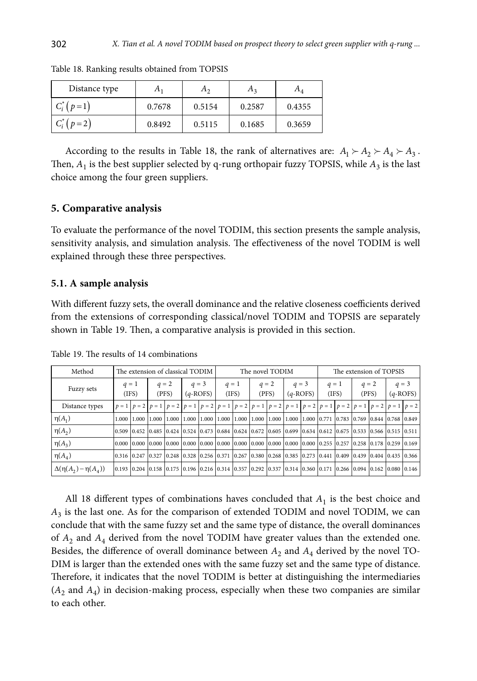| Distance type     | Α,     | A <sub>2</sub> | $\pi_3$ | $A_{\Lambda}$ |
|-------------------|--------|----------------|---------|---------------|
| $C_i^*$ ( $p=1$ ) | 0.7678 | 0.5154         | 0.2587  | 0.4355        |
| $C_i^*$ ( $p=2$ ) | 0.8492 | 0.5115         | 0.1685  | 0.3659        |

Table 18. Ranking results obtained from TOPSIS

According to the results in Table 18, the rank of alternatives are:  $A_1 \succ A_2 \succ A_3$ . Then,  $A_1$  is the best supplier selected by q-rung orthopair fuzzy TOPSIS, while  $A_3$  is the last choice among the four green suppliers.

#### **5. Comparative analysis**

To evaluate the performance of the novel TODIM, this section presents the sample analysis, sensitivity analysis, and simulation analysis. The effectiveness of the novel TODIM is well explained through these three perspectives.

#### **5.1. A sample analysis**

With different fuzzy sets, the overall dominance and the relative closeness coefficients derived from the extensions of corresponding classical/novel TODIM and TOPSIS are separately shown in Table 19. Then, a comparative analysis is provided in this section.

| Method                          | The extension of classical TODIM |                |  |                  |  | The novel TODIM       |                |  |                  |  | The extension of TOPSIS |  |                |  |                                                                                                                         |            |         |
|---------------------------------|----------------------------------|----------------|--|------------------|--|-----------------------|----------------|--|------------------|--|-------------------------|--|----------------|--|-------------------------------------------------------------------------------------------------------------------------|------------|---------|
| Fuzzy sets                      |                                  | $q=1$<br>(IFS) |  | $q = 2$<br>(PFS) |  | $q = 3$<br>$(q-ROFS)$ | $q=1$<br>(IFS) |  | $q = 2$<br>(PFS) |  | $q = 3$<br>$(q-ROFS)$   |  | $q=1$<br>(IFS) |  | $q = 2$<br>(PFS)                                                                                                        | $(q-ROFS)$ | $q = 3$ |
| Distance types                  |                                  |                |  |                  |  |                       |                |  |                  |  |                         |  |                |  | $p=1$ $p=2$ $p=1$ $p=2$ $p=1$ $p=2$ $p=1$ $p=2$ $p=1$ $p=2$ $p=1$ $p=2$ $p=1$ $p=2$ $p=1$ $p=2$ $p=1$ $p=2$ $p=1$ $p=2$ |            |         |
| $\eta(A_1)$                     | $1.000 \downarrow$               | 1.000          |  |                  |  |                       |                |  |                  |  |                         |  |                |  | 1,000 1,000 1,000 1,000 1,000 1,000 1,000 1,000 1,000 1,000 10,000 10,771 0.783 0.769 0.844 0.768 0.849                 |            |         |
| $\eta(A_2)$                     |                                  |                |  |                  |  |                       |                |  |                  |  |                         |  |                |  | 0.509 0.452 0.485 0.424 0.524 0.473 0.684 0.624 0.672 0.605 0.699 0.634 0.612 0.675 0.533 0.566 0.515 0.511             |            |         |
| $\eta(A_3)$                     |                                  |                |  |                  |  |                       |                |  |                  |  |                         |  |                |  | 0.000 0.000 0.000 0.000 0.000 0.000 0.000 0.000 0.000 0.000 0.000 0.000 0.000 0.255 0.257 0.258 0.178 0.259 0.169       |            |         |
| $\eta(A_4)$                     |                                  |                |  |                  |  |                       |                |  |                  |  |                         |  |                |  | 0.316 0.247 0.327 0.248 0.328 0.256 0.371 0.267 0.380 0.268 0.385 0.273 0.441 0.409 0.439 0.404 0.435 0.366             |            |         |
| $\Delta(\eta(A_2) - \eta(A_4))$ |                                  |                |  |                  |  |                       |                |  |                  |  |                         |  |                |  | 0.193 0.204 0.158 0.175 0.196 0.216 0.314 0.357 0.292 0.337 0.314 0.360 0.171 0.266 0.094 0.162 0.080 0.146             |            |         |

Table 19. The results of 14 combinations

All 18 different types of combinations haves concluded that  $A<sub>1</sub>$  is the best choice and  $A_3$  is the last one. As for the comparison of extended TODIM and novel TODIM, we can conclude that with the same fuzzy set and the same type of distance, the overall dominances of  $A_2$  and  $A_4$  derived from the novel TODIM have greater values than the extended one. Besides, the difference of overall dominance between  $A_2$  and  $A_4$  derived by the novel TO-DIM is larger than the extended ones with the same fuzzy set and the same type of distance. Therefore, it indicates that the novel TODIM is better at distinguishing the intermediaries  $(A_2 \text{ and } A_4)$  in decision-making process, especially when these two companies are similar to each other.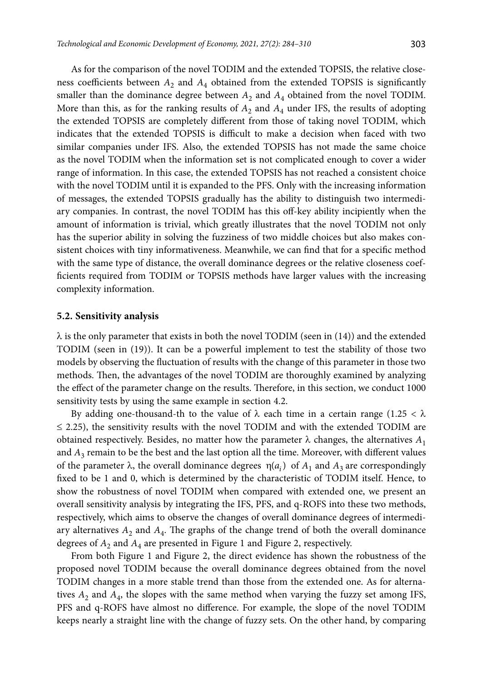As for the comparison of the novel TODIM and the extended TOPSIS, the relative closeness coefficients between  $A_2$  and  $A_4$  obtained from the extended TOPSIS is significantly smaller than the dominance degree between  $A_2$  and  $A_4$  obtained from the novel TODIM. More than this, as for the ranking results of  $A_2$  and  $A_4$  under IFS, the results of adopting the extended TOPSIS are completely different from those of taking novel TODIM, which indicates that the extended TOPSIS is difficult to make a decision when faced with two similar companies under IFS. Also, the extended TOPSIS has not made the same choice as the novel TODIM when the information set is not complicated enough to cover a wider range of information. In this case, the extended TOPSIS has not reached a consistent choice with the novel TODIM until it is expanded to the PFS. Only with the increasing information of messages, the extended TOPSIS gradually has the ability to distinguish two intermediary companies. In contrast, the novel TODIM has this off-key ability incipiently when the amount of information is trivial, which greatly illustrates that the novel TODIM not only has the superior ability in solving the fuzziness of two middle choices but also makes consistent choices with tiny informativeness. Meanwhile, we can find that for a specific method with the same type of distance, the overall dominance degrees or the relative closeness coefficients required from TODIM or TOPSIS methods have larger values with the increasing complexity information.

### **5.2. Sensitivity analysis**

 $\lambda$  is the only parameter that exists in both the novel TODIM (seen in (14)) and the extended TODIM (seen in (19)). It can be a powerful implement to test the stability of those two models by observing the fluctuation of results with the change of this parameter in those two methods. Then, the advantages of the novel TODIM are thoroughly examined by analyzing the effect of the parameter change on the results. Therefore, in this section, we conduct 1000 sensitivity tests by using the same example in section 4.2.

By adding one-thousand-th to the value of  $\lambda$  each time in a certain range (1.25 <  $\lambda$ )  $\leq$  2.25), the sensitivity results with the novel TODIM and with the extended TODIM are obtained respectively. Besides, no matter how the parameter  $\lambda$  changes, the alternatives  $A_1$ and *A*3 remain to be the best and the last option all the time. Moreover, with different values of the parameter  $\lambda$ , the overall dominance degrees  $\eta(a_i)$  of  $A_1$  and  $A_3$  are correspondingly fixed to be 1 and 0, which is determined by the characteristic of TODIM itself. Hence, to show the robustness of novel TODIM when compared with extended one, we present an overall sensitivity analysis by integrating the IFS, PFS, and q-ROFS into these two methods, respectively, which aims to observe the changes of overall dominance degrees of intermediary alternatives  $A_2$  and  $A_4$ . The graphs of the change trend of both the overall dominance degrees of  $A_2$  and  $A_4$  are presented in Figure 1 and Figure 2, respectively.

From both Figure 1 and Figure 2, the direct evidence has shown the robustness of the proposed novel TODIM because the overall dominance degrees obtained from the novel TODIM changes in a more stable trend than those from the extended one. As for alternatives  $A_2$  and  $A_4$ , the slopes with the same method when varying the fuzzy set among IFS, PFS and q-ROFS have almost no difference. For example, the slope of the novel TODIM keeps nearly a straight line with the change of fuzzy sets. On the other hand, by comparing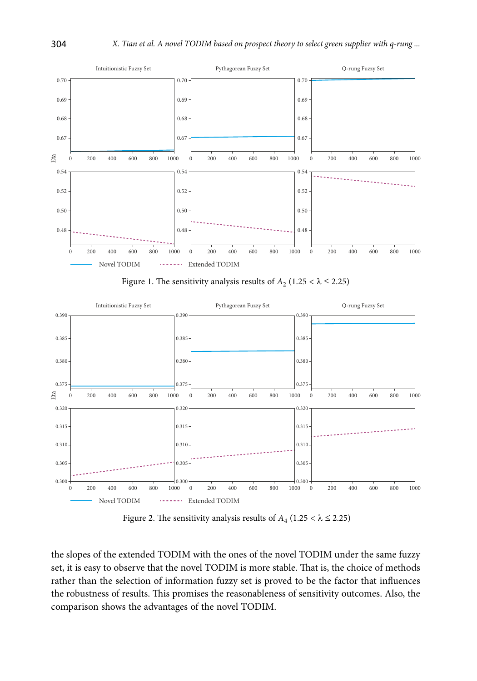

Figure 1. The sensitivity analysis results of  $A_2$  (1.25 <  $\lambda \le 2.25$ )



Figure 2. The sensitivity analysis results of  $A_4$  (1.25 <  $\lambda \le 2.25$ )

the slopes of the extended TODIM with the ones of the novel TODIM under the same fuzzy set, it is easy to observe that the novel TODIM is more stable. That is, the choice of methods rather than the selection of information fuzzy set is proved to be the factor that influences the robustness of results. This promises the reasonableness of sensitivity outcomes. Also, the comparison shows the advantages of the novel TODIM.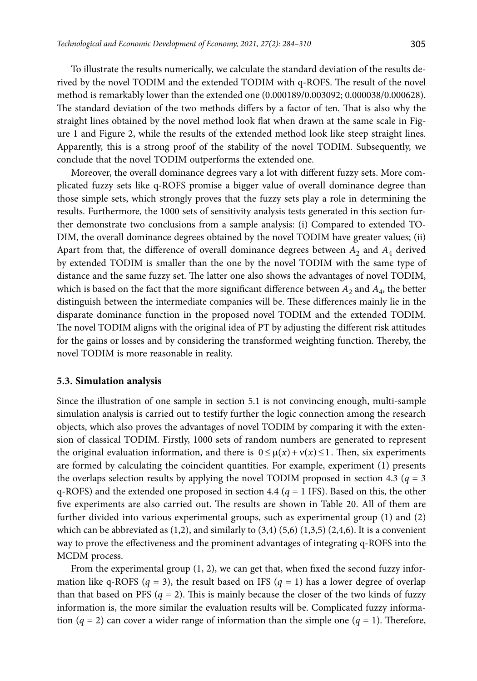To illustrate the results numerically, we calculate the standard deviation of the results derived by the novel TODIM and the extended TODIM with q-ROFS. The result of the novel method is remarkably lower than the extended one (0.000189/0.003092; 0.000038/0.000628). The standard deviation of the two methods differs by a factor of ten. That is also why the straight lines obtained by the novel method look flat when drawn at the same scale in Figure 1 and Figure 2, while the results of the extended method look like steep straight lines. Apparently, this is a strong proof of the stability of the novel TODIM. Subsequently, we conclude that the novel TODIM outperforms the extended one.

Moreover, the overall dominance degrees vary a lot with different fuzzy sets. More complicated fuzzy sets like q-ROFS promise a bigger value of overall dominance degree than those simple sets, which strongly proves that the fuzzy sets play a role in determining the results. Furthermore, the 1000 sets of sensitivity analysis tests generated in this section further demonstrate two conclusions from a sample analysis: (i) Compared to extended TO-DIM, the overall dominance degrees obtained by the novel TODIM have greater values; (ii) Apart from that, the difference of overall dominance degrees between  $A_2$  and  $A_4$  derived by extended TODIM is smaller than the one by the novel TODIM with the same type of distance and the same fuzzy set. The latter one also shows the advantages of novel TODIM, which is based on the fact that the more significant difference between  $A_2$  and  $A_4$ , the better distinguish between the intermediate companies will be. These differences mainly lie in the disparate dominance function in the proposed novel TODIM and the extended TODIM. The novel TODIM aligns with the original idea of PT by adjusting the different risk attitudes for the gains or losses and by considering the transformed weighting function. Thereby, the novel TODIM is more reasonable in reality.

#### **5.3. Simulation analysis**

Since the illustration of one sample in section 5.1 is not convincing enough, multi-sample simulation analysis is carried out to testify further the logic connection among the research objects, which also proves the advantages of novel TODIM by comparing it with the extension of classical TODIM. Firstly, 1000 sets of random numbers are generated to represent the original evaluation information, and there is  $0 \leq \mu(x) + v(x) \leq 1$ . Then, six experiments are formed by calculating the coincident quantities. For example, experiment (1) presents the overlaps selection results by applying the novel TODIM proposed in section 4.3 ( $q = 3$ ) q-ROFS) and the extended one proposed in section 4.4 ( $q = 1$  IFS). Based on this, the other five experiments are also carried out. The results are shown in Table 20. All of them are further divided into various experimental groups, such as experimental group (1) and (2) which can be abbreviated as  $(1,2)$ , and similarly to  $(3,4)$   $(5,6)$   $(1,3,5)$   $(2,4,6)$ . It is a convenient way to prove the effectiveness and the prominent advantages of integrating q-ROFS into the MCDM process.

From the experimental group (1, 2), we can get that, when fixed the second fuzzy information like q-ROFS ( $q = 3$ ), the result based on IFS ( $q = 1$ ) has a lower degree of overlap than that based on PFS  $(q = 2)$ . This is mainly because the closer of the two kinds of fuzzy information is, the more similar the evaluation results will be. Complicated fuzzy information ( $q = 2$ ) can cover a wider range of information than the simple one ( $q = 1$ ). Therefore,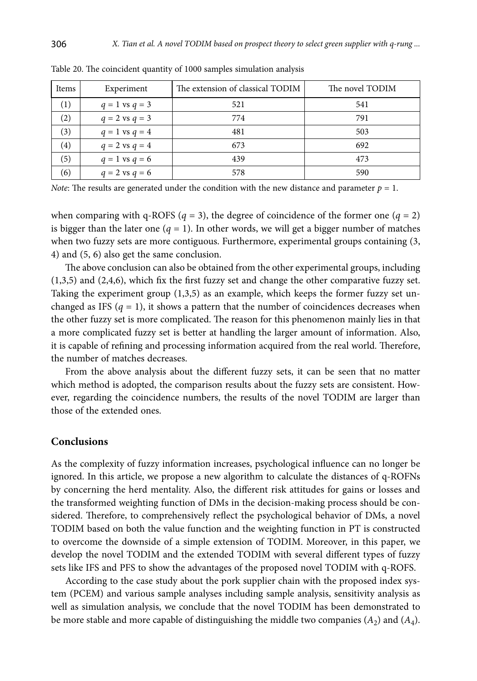| Items             | Experiment         | The extension of classical TODIM | The novel TODIM |
|-------------------|--------------------|----------------------------------|-----------------|
| $\left(1\right)$  | $q = 1$ vs $q = 3$ | 521                              | 541             |
| (2)               | $q = 2$ vs $q = 3$ | 774                              | 791             |
| (3)               | $q = 1$ vs $q = 4$ | 481                              | 503             |
| $\left( 4\right)$ | $q = 2$ vs $q = 4$ | 673                              | 692             |
| (5)               | $q = 1$ vs $q = 6$ | 439                              | 473             |
| (6)               | $q = 2$ vs $q = 6$ | 578                              | 590             |

Table 20. The coincident quantity of 1000 samples simulation analysis

*Note*: The results are generated under the condition with the new distance and parameter  $p = 1$ .

when comparing with q-ROFS ( $q = 3$ ), the degree of coincidence of the former one ( $q = 2$ ) is bigger than the later one  $(q = 1)$ . In other words, we will get a bigger number of matches when two fuzzy sets are more contiguous. Furthermore, experimental groups containing (3, 4) and (5, 6) also get the same conclusion.

The above conclusion can also be obtained from the other experimental groups, including (1,3,5) and (2,4,6), which fix the first fuzzy set and change the other comparative fuzzy set. Taking the experiment group (1,3,5) as an example, which keeps the former fuzzy set unchanged as IFS  $(q = 1)$ , it shows a pattern that the number of coincidences decreases when the other fuzzy set is more complicated. The reason for this phenomenon mainly lies in that a more complicated fuzzy set is better at handling the larger amount of information. Also, it is capable of refining and processing information acquired from the real world. Therefore, the number of matches decreases.

From the above analysis about the different fuzzy sets, it can be seen that no matter which method is adopted, the comparison results about the fuzzy sets are consistent. However, regarding the coincidence numbers, the results of the novel TODIM are larger than those of the extended ones.

## **Conclusions**

As the complexity of fuzzy information increases, psychological influence can no longer be ignored. In this article, we propose a new algorithm to calculate the distances of q-ROFNs by concerning the herd mentality. Also, the different risk attitudes for gains or losses and the transformed weighting function of DMs in the decision-making process should be considered. Therefore, to comprehensively reflect the psychological behavior of DMs, a novel TODIM based on both the value function and the weighting function in PT is constructed to overcome the downside of a simple extension of TODIM. Moreover, in this paper, we develop the novel TODIM and the extended TODIM with several different types of fuzzy sets like IFS and PFS to show the advantages of the proposed novel TODIM with q-ROFS.

According to the case study about the pork supplier chain with the proposed index system (PCEM) and various sample analyses including sample analysis, sensitivity analysis as well as simulation analysis, we conclude that the novel TODIM has been demonstrated to be more stable and more capable of distinguishing the middle two companies  $(A_2)$  and  $(A_4)$ .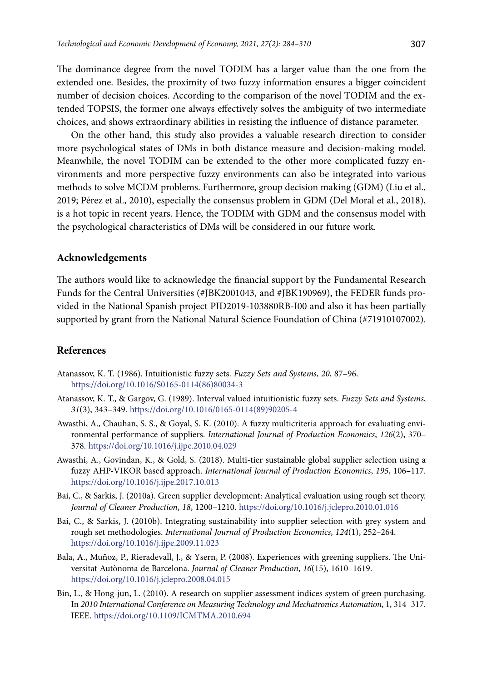The dominance degree from the novel TODIM has a larger value than the one from the extended one. Besides, the proximity of two fuzzy information ensures a bigger coincident number of decision choices. According to the comparison of the novel TODIM and the extended TOPSIS, the former one always effectively solves the ambiguity of two intermediate choices, and shows extraordinary abilities in resisting the influence of distance parameter.

On the other hand, this study also provides a valuable research direction to consider more psychological states of DMs in both distance measure and decision-making model. Meanwhile, the novel TODIM can be extended to the other more complicated fuzzy environments and more perspective fuzzy environments can also be integrated into various methods to solve MCDM problems. Furthermore, group decision making (GDM) (Liu et al., 2019; Pérez et al., 2010), especially the consensus problem in GDM (Del Moral et al., 2018), is a hot topic in recent years. Hence, the TODIM with GDM and the consensus model with the psychological characteristics of DMs will be considered in our future work.

#### **Acknowledgements**

The authors would like to acknowledge the financial support by the Fundamental Research Funds for the Central Universities (#JBK2001043, and #JBK190969), the FEDER funds provided in the National Spanish project PID2019-103880RB-I00 and also it has been partially supported by grant from the National Natural Science Foundation of China (#71910107002).

## **References**

- Atanassov, K. T. (1986). Intuitionistic fuzzy sets. *Fuzzy Sets and Systems*, *20*, 87–96. [https://doi.org/10.1016/S0165-0114\(86\)80034-3](https://doi.org/10.1016/S0165-0114(86)80034-3)
- Atanassov, K. T., & Gargov, G. (1989). Interval valued intuitionistic fuzzy sets. *Fuzzy Sets and Systems*, *31*(3), 343–349. [https://doi.org/10.1016/0165-0114\(89\)90205-4](https://doi.org/10.1016/0165-0114(89)90205-4)
- Awasthi, A., Chauhan, S. S., & Goyal, S. K. (2010). A fuzzy multicriteria approach for evaluating environmental performance of suppliers. *International Journal of Production Economics*, *126*(2), 370– 378. <https://doi.org/10.1016/j.ijpe.2010.04.029>
- Awasthi, A., Govindan, K., & Gold, S. (2018). Multi-tier sustainable global supplier selection using a fuzzy AHP-VIKOR based approach. *International Journal of Production Economics*, *195*, 106–117. <https://doi.org/10.1016/j.ijpe.2017.10.013>
- Bai, C., & Sarkis, J. (2010a). Green supplier development: Analytical evaluation using rough set theory. *Journal of Cleaner Production*, *18*, 1200–1210. <https://doi.org/10.1016/j.jclepro.2010.01.016>
- Bai, C., & Sarkis, J. (2010b). Integrating sustainability into supplier selection with grey system and rough set methodologies. *International Journal of Production Economics*, *124*(1), 252–264. <https://doi.org/10.1016/j.ijpe.2009.11.023>
- Bala, A., Muñoz, P., Rieradevall, J., & Ysern, P. (2008). Experiences with greening suppliers. The Universitat Autònoma de Barcelona. *Journal of Cleaner Production*, *16*(15), 1610–1619. <https://doi.org/10.1016/j.jclepro.2008.04.015>
- Bin, L., & Hong-jun, L. (2010). A research on supplier assessment indices system of green purchasing. In *2010 International Conference on Measuring Technology and Mechatronics Automation*, 1, 314–317. IEEE. <https://doi.org/10.1109/ICMTMA.2010.694>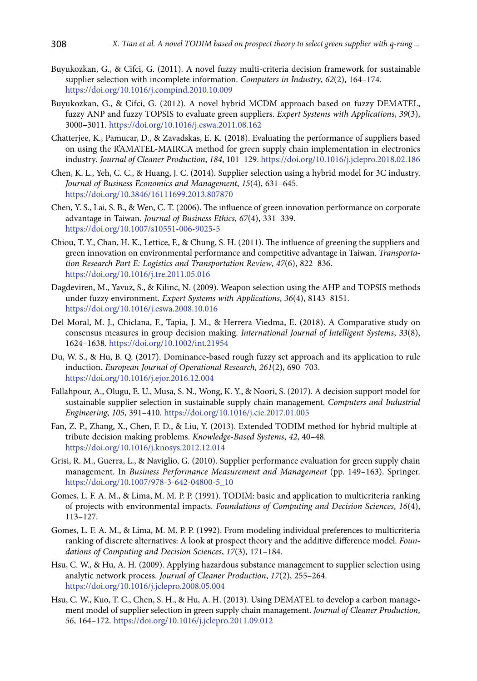- Buyukozkan, G., & Cifci, G. (2011). A novel fuzzy multi-criteria decision framework for sustainable supplier selection with incomplete information. *Computers in Industry*, *62*(2), 164–174. <https://doi.org/10.1016/j.compind.2010.10.009>
- Buyukozkan, G., & Cifci, G. (2012). A novel hybrid MCDM approach based on fuzzy DEMATEL, fuzzy ANP and fuzzy TOPSIS to evaluate green suppliers. *Expert Systems with Applications*, *39*(3), 3000–3011. <https://doi.org/10.1016/j.eswa.2011.08.162>
- Chatterjee, K., Pamucar, D., & Zavadskas, E. K. (2018). Evaluating the performance of suppliers based on using the R'AMATEL-MAIRCA method for green supply chain implementation in electronics industry*. Journal of Cleaner Production*, *184*, 101–129. <https://doi.org/10.1016/j.jclepro.2018.02.186>
- Chen, K. L., Yeh, C. C., & Huang, J. C. (2014). Supplier selection using a hybrid model for 3C industry. *Journal of Business Economics and Management*, *15*(4), 631–645. <https://doi.org/10.3846/16111699.2013.807870>
- Chen, Y. S., Lai, S. B., & Wen, C. T. (2006). The influence of green innovation performance on corporate advantage in Taiwan. *Journal of Business Ethics*, *67*(4), 331–339. <https://doi.org/10.1007/s10551-006-9025-5>
- Chiou, T. Y., Chan, H. K., Lettice, F., & Chung, S. H. (2011). The influence of greening the suppliers and green innovation on environmental performance and competitive advantage in Taiwan. *Transportation Research Part E: Logistics and Transportation Review*, *47*(6), 822–836. <https://doi.org/10.1016/j.tre.2011.05.016>
- Dagdeviren, M., Yavuz, S., & Kilinc, N. (2009). Weapon selection using the AHP and TOPSIS methods under fuzzy environment. *Expert Systems with Applications*, *36*(4), 8143–8151. <https://doi.org/10.1016/j.eswa.2008.10.016>
- Del Moral, M. J., Chiclana, F., Tapia, J. M., & Herrera-Viedma, E. (2018). A Comparative study on consensus measures in group decision making. *International Journal of Intelligent Systems*, *33*(8), 1624–1638. <https://doi.org/10.1002/int.21954>
- Du, W. S., & Hu, B. Q. (2017). Dominance-based rough fuzzy set approach and its application to rule induction. *European Journal of Operational Research*, *261*(2), 690–703. <https://doi.org/10.1016/j.ejor.2016.12.004>
- Fallahpour, A., Olugu, E. U., Musa, S. N., Wong, K. Y., & Noori, S. (2017). A decision support model for sustainable supplier selection in sustainable supply chain management. *Computers and Industrial Engineering*, *105*, 391–410. <https://doi.org/10.1016/j.cie.2017.01.005>
- Fan, Z. P., Zhang, X., Chen, F. D., & Liu, Y. (2013). Extended TODIM method for hybrid multiple attribute decision making problems. *Knowledge-Based Systems*, *42*, 40–48. <https://doi.org/10.1016/j.knosys.2012.12.014>
- Grisi, R. M., Guerra, L., & Naviglio, G. (2010). Supplier performance evaluation for green supply chain management. In *Business Performance Measurement and Management* (pp. 149–163). Springer. https://doi.org/10.1007/978-3-642-04800-5\_10
- Gomes, L. F. A. M., & Lima, M. M. P. P. (1991). TODIM: basic and application to multicriteria ranking of projects with environmental impacts. *Foundations of Computing and Decision Sciences*, *16*(4), 113–127.
- Gomes, L. F. A. M., & Lima, M. M. P. P. (1992). From modeling individual preferences to multicriteria ranking of discrete alternatives: A look at prospect theory and the additive difference model. *Foundations of Computing and Decision Sciences*, *17*(3), 171–184.
- Hsu, C. W., & Hu, A. H. (2009). Applying hazardous substance management to supplier selection using analytic network process. *Journal of Cleaner Production*, *17*(2), 255–264. <https://doi.org/10.1016/j.jclepro.2008.05.004>
- Hsu, C. W., Kuo, T. C., Chen, S. H., & Hu, A. H. (2013). Using DEMATEL to develop a carbon management model of supplier selection in green supply chain management. *Journal of Cleaner Production*, *56*, 164–172. <https://doi.org/10.1016/j.jclepro.2011.09.012>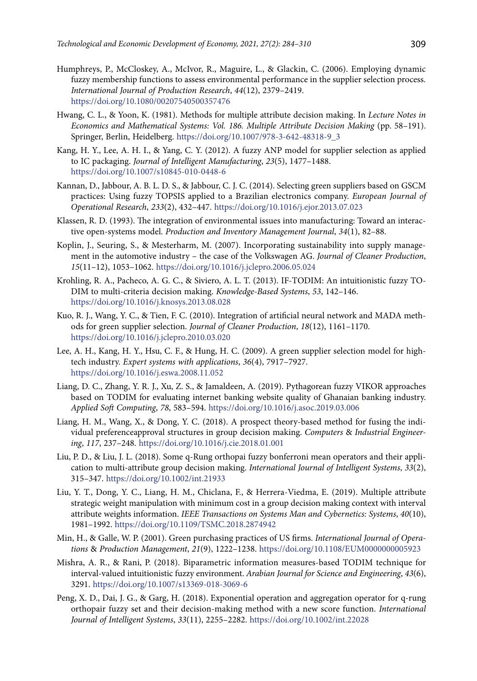- Humphreys, P., McCloskey, A., McIvor, R., Maguire, L., & Glackin, C. (2006). Employing dynamic fuzzy membership functions to assess environmental performance in the supplier selection process. *International Journal of Production Research*, *44*(12), 2379–2419. <https://doi.org/10.1080/00207540500357476>
- Hwang, C. L., & Yoon, K. (1981). Methods for multiple attribute decision making. In *Lecture Notes in Economics and Mathematical Systems: Vol. 186. Multiple Attribute Decision Making* (pp. 58–191). Springer, Berlin, Heidelberg. [https://doi.org/10.1007/978-3-642-48318-9\\_3](https://doi.org/10.1007/978-3-642-48318-9_3)
- Kang, H. Y., Lee, A. H. I., & Yang, C. Y. (2012). A fuzzy ANP model for supplier selection as applied to IC packaging. *Journal of Intelligent Manufacturing*, *23*(5), 1477–1488. <https://doi.org/10.1007/s10845-010-0448-6>
- Kannan, D., Jabbour, A. B. L. D. S., & Jabbour, C. J. C. (2014). Selecting green suppliers based on GSCM practices: Using fuzzy TOPSIS applied to a Brazilian electronics company. *European Journal of Operational Research*, *233*(2), 432–447. <https://doi.org/10.1016/j.ejor.2013.07.023>
- Klassen, R. D. (1993). The integration of environmental issues into manufacturing: Toward an interactive open-systems model. *Production and Inventory Management Journal*, *34*(1), 82–88.
- Koplin, J., Seuring, S., & Mesterharm, M. (2007). Incorporating sustainability into supply management in the automotive industry – the case of the Volkswagen AG. *Journal of Cleaner Production*, *15*(11–12), 1053–1062. <https://doi.org/10.1016/j.jclepro.2006.05.024>
- Krohling, R. A., Pacheco, A. G. C., & Siviero, A. L. T. (2013). IF-TODIM: An intuitionistic fuzzy TO-DIM to multi-criteria decision making. *Knowledge-Based Systems*, *53*, 142–146. <https://doi.org/10.1016/j.knosys.2013.08.028>
- Kuo, R. J., Wang, Y. C., & Tien, F. C. (2010). Integration of artificial neural network and MADA methods for green supplier selection. *Journal of Cleaner Production*, *18*(12), 1161–1170. <https://doi.org/10.1016/j.jclepro.2010.03.020>
- Lee, A. H., Kang, H. Y., Hsu, C. F., & Hung, H. C. (2009). A green supplier selection model for hightech industry. *Expert systems with applications*, *36*(4), 7917–7927. https://doi.org/10.1016/j.eswa.2008.11.052
- Liang, D. C., Zhang, Y. R. J., Xu, Z. S., & Jamaldeen, A. (2019). Pythagorean fuzzy VIKOR approaches based on TODIM for evaluating internet banking website quality of Ghanaian banking industry. *Applied Soft Computing*, *78*, 583–594. <https://doi.org/10.1016/j.asoc.2019.03.006>
- Liang, H. M., Wang, X., & Dong, Y. C. (2018). A prospect theory-based method for fusing the individual preferenceapproval structures in group decision making. *Computers* & *Industrial Engineering*, *117*, 237–248. <https://doi.org/10.1016/j.cie.2018.01.001>
- Liu, P. D., & Liu, J. L. (2018). Some q‐Rung orthopai fuzzy bonferroni mean operators and their application to multi‐attribute group decision making. *International Journal of Intelligent Systems*, *33*(2), 315–347. <https://doi.org/10.1002/int.21933>
- Liu, Y. T., Dong, Y. C., Liang, H. M., Chiclana, F., & Herrera-Viedma, E. (2019). Multiple attribute strategic weight manipulation with minimum cost in a group decision making context with interval attribute weights information. *IEEE Transactions on Systems Man and Cybernetics: Systems*, *40*(10), 1981–1992. <https://doi.org/10.1109/TSMC.2018.2874942>
- Min, H., & Galle, W. P. (2001). Green purchasing practices of US firms. *International Journal of Operations* & *Production Management*, *21*(9), 1222–1238. <https://doi.org/10.1108/EUM0000000005923>
- Mishra, A. R., & Rani, P. (2018). Biparametric information measures-based TODIM technique for interval-valued intuitionistic fuzzy environment. *Arabian Journal for Science and Engineering*, *43*(6), 3291. <https://doi.org/10.1007/s13369-018-3069-6>
- Peng, X. D., Dai, J. G., & Garg, H. (2018). Exponential operation and aggregation operator for q-rung orthopair fuzzy set and their decision‐making method with a new score function. *International Journal of Intelligent Systems*, *33*(11), 2255–2282. <https://doi.org/10.1002/int.22028>